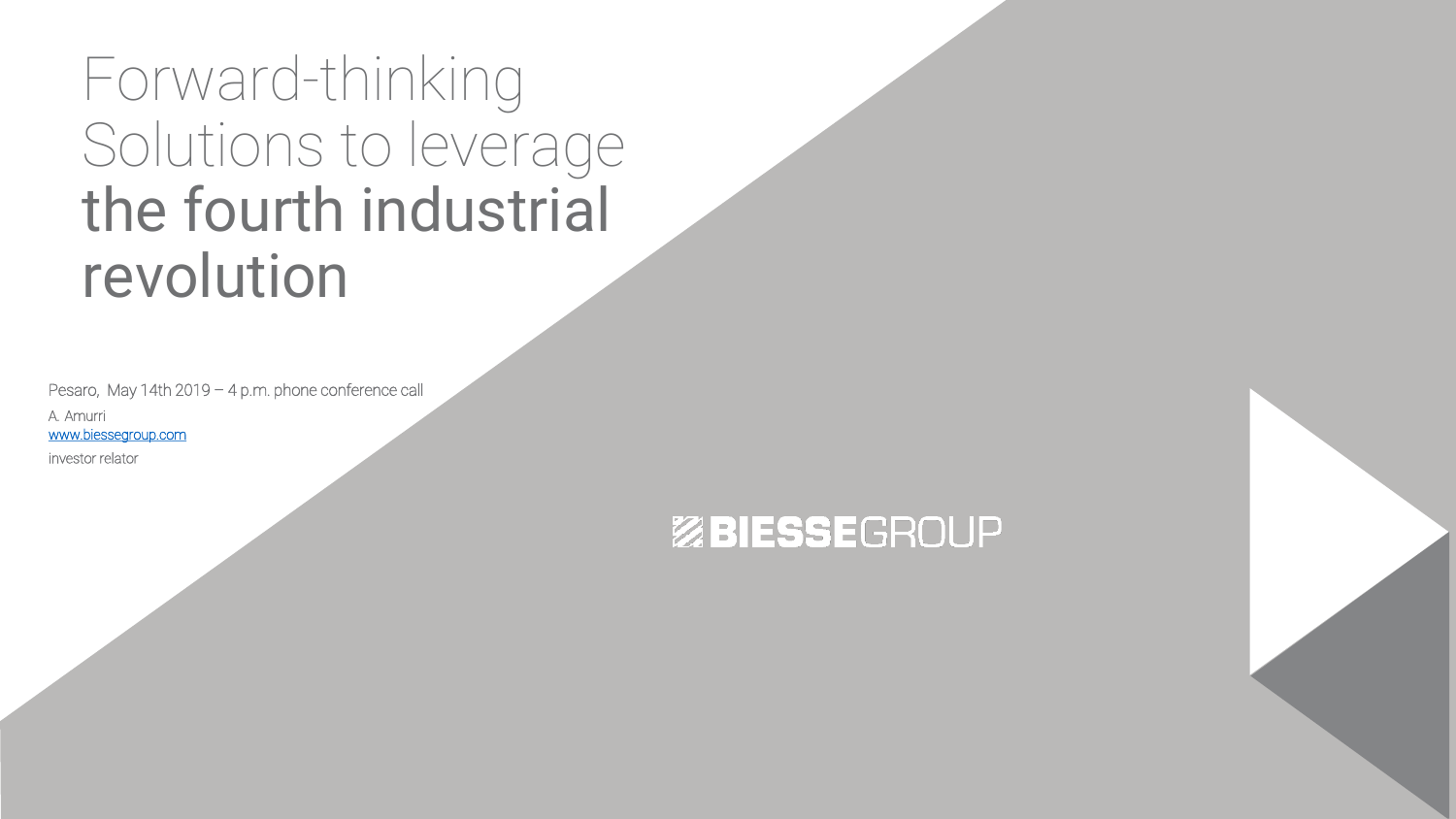Forward-thinking Solutions to leverage the fourth industrial revolution

Pesaro, May 14th 2019 – 4 p.m. phone conference call

A. Amurri [www.biessegroup.com](http://www.biessegroup.com/)

investor relator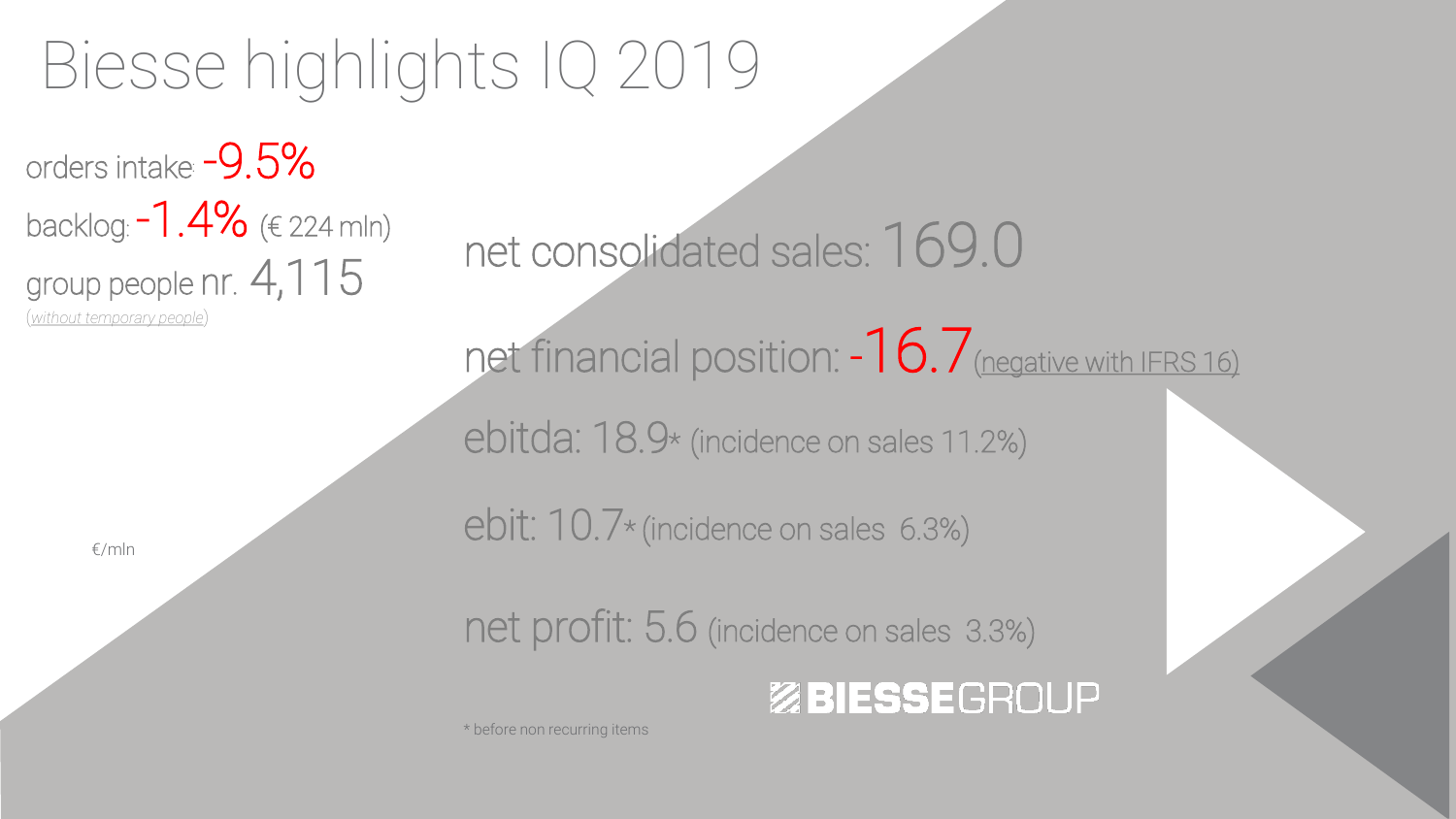## Biesse highlights IQ 2019

orders intake: -9.5% backlog:  $-1.4\%$  (€ 224 mln) group people nr. 4,115

(*without temporary people*)

€/mln

net consolidated sales: 169.0

net financial position:  $-16.7$  (negative with IFRS 16)

ebitda: 18.9\* (incidence on sales 11.2%)

ebit: 10.7\* (incidence on sales 6.3%)

net profit: 5.6 (incidence on sales 3.3%)

#### ZBIESSEGROUP

\* before non recurring items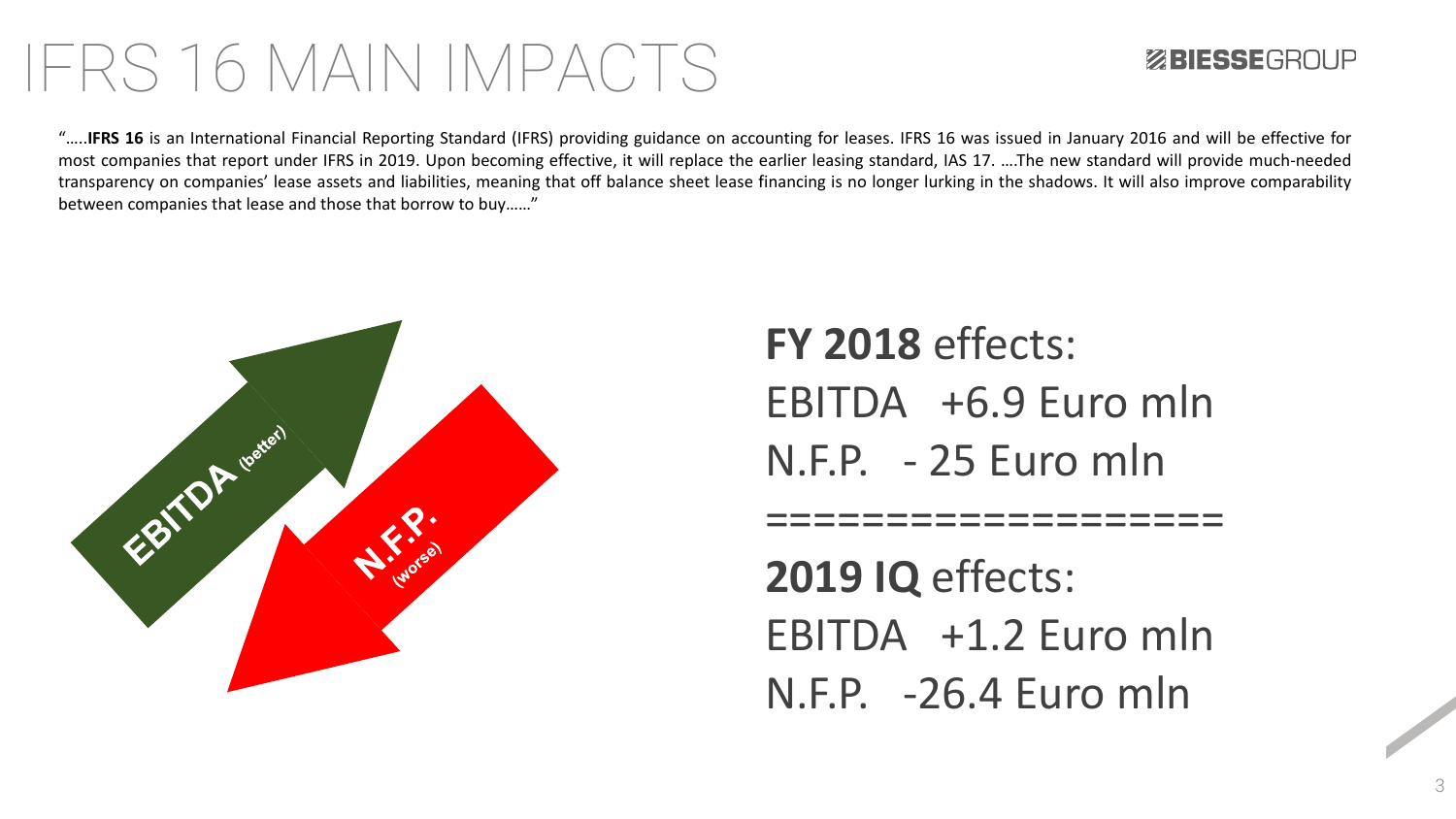#### IFRS 16 MAIN IMPACTS

#### **ZEIESSEGROUP**

"…..**IFRS 16** is an International Financial Reporting Standard (IFRS) providing guidance on accounting for leases. IFRS 16 was issued in January 2016 and will be effective for most companies that report under IFRS in 2019. Upon becoming effective, it will replace the earlier leasing standard, IAS 17. ….The new standard will provide much-needed transparency on companies' lease assets and liabilities, meaning that off balance sheet lease financing is no longer lurking in the shadows. It will also improve comparability between companies that lease and those that borrow to buy……"



**FY 2018** effects: EBITDA +6.9 Euro mln N.F.P. - 25 Euro mln

====================

**2019 IQ** effects: EBITDA +1.2 Euro mln N.F.P. -26.4 Euro mln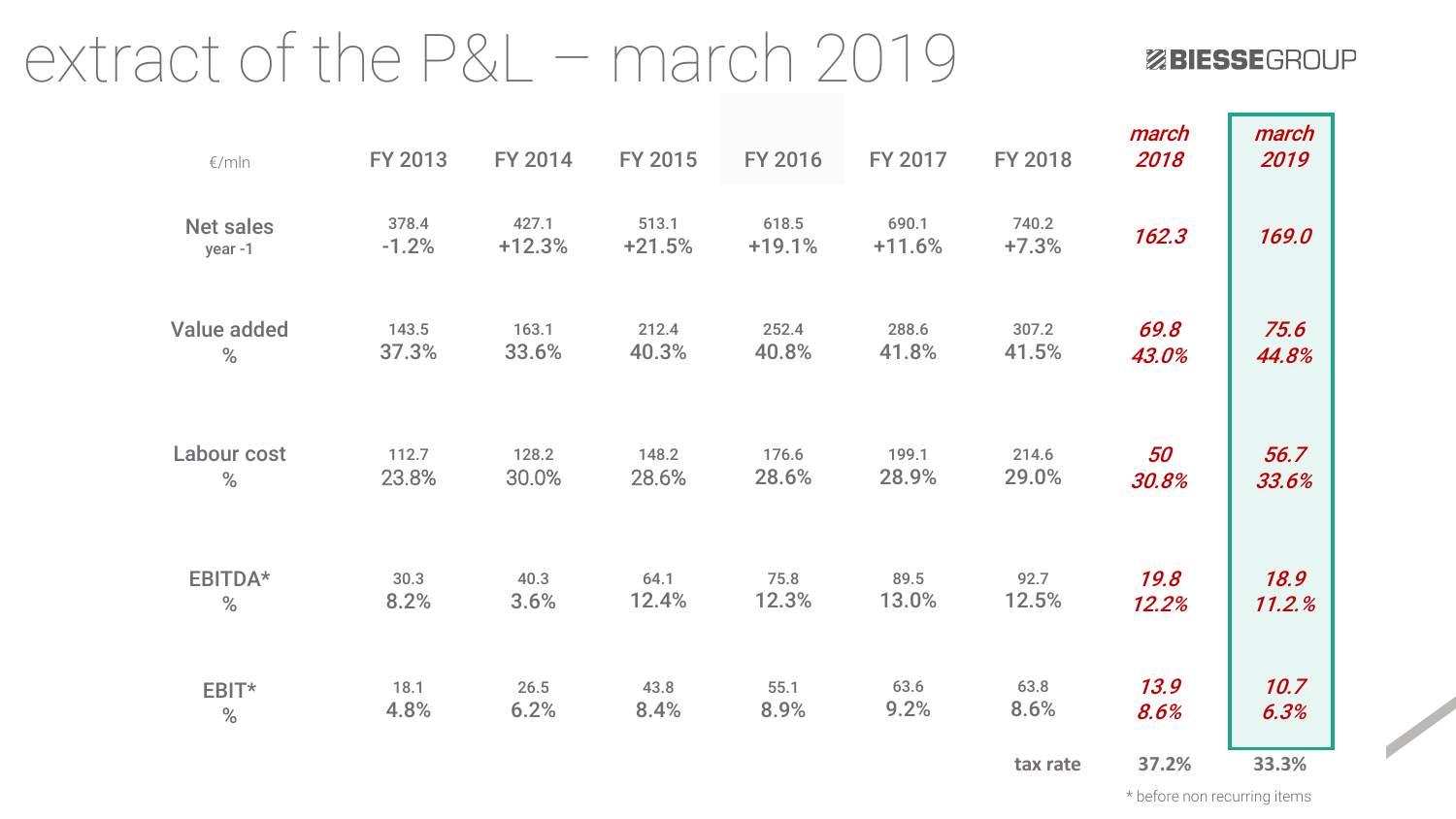#### extract of the P&L – march 2019

#### ZBIESSEGROUP

| $\epsilon$ /mln            | FY 2013          | FY 2014           | FY 2015           | FY 2016           | FY 2017           | <b>FY 2018</b>   | march<br>2018 | march<br>2019 |
|----------------------------|------------------|-------------------|-------------------|-------------------|-------------------|------------------|---------------|---------------|
| <b>Net sales</b><br>year-1 | 378.4<br>$-1.2%$ | 427.1<br>$+12.3%$ | 513.1<br>$+21.5%$ | 618.5<br>$+19.1%$ | 690.1<br>$+11.6%$ | 740.2<br>$+7.3%$ | 162.3         | 169.0         |
| <b>Value added</b>         | 143.5            | 163.1             | 212.4             | 252.4             | 288.6             | 307.2            | 69.8          | 75.6          |
| $\%$                       | 37.3%            | 33.6%             | 40.3%             | 40.8%             | 41.8%             | 41.5%            | 43.0%         | 44.8%         |
| Labour cost                | 112.7            | 128.2             | 148.2             | 176.6             | 199.1             | 214.6            | 50            | 56.7          |
| %                          | 23.8%            | 30.0%             | 28.6%             | 28.6%             | 28.9%             | 29.0%            | 30.8%         | 33.6%         |
| EBITDA*                    | 30.3             | 40.3              | 64.1              | 75.8              | 89.5              | 92.7             | 19.8          | 18.9          |
| $\%$                       | 8.2%             | 3.6%              | 12.4%             | 12.3%             | 13.0%             | 12.5%            | 12.2%         | 11.2.%        |
| EBIT*                      | 18.1             | 26.5              | 43.8              | 55.1              | 63.6              | 63.8             | 13.9          | 10.7          |
| $\%$                       | 4.8%             | 6.2%              | 8.4%              | 8.9%              | 9.2%              | 8.6%             | 8.6%          | 6.3%          |
|                            |                  |                   |                   |                   |                   | tax rate         | 37.2%         | 33.3%         |

\* before non recurring items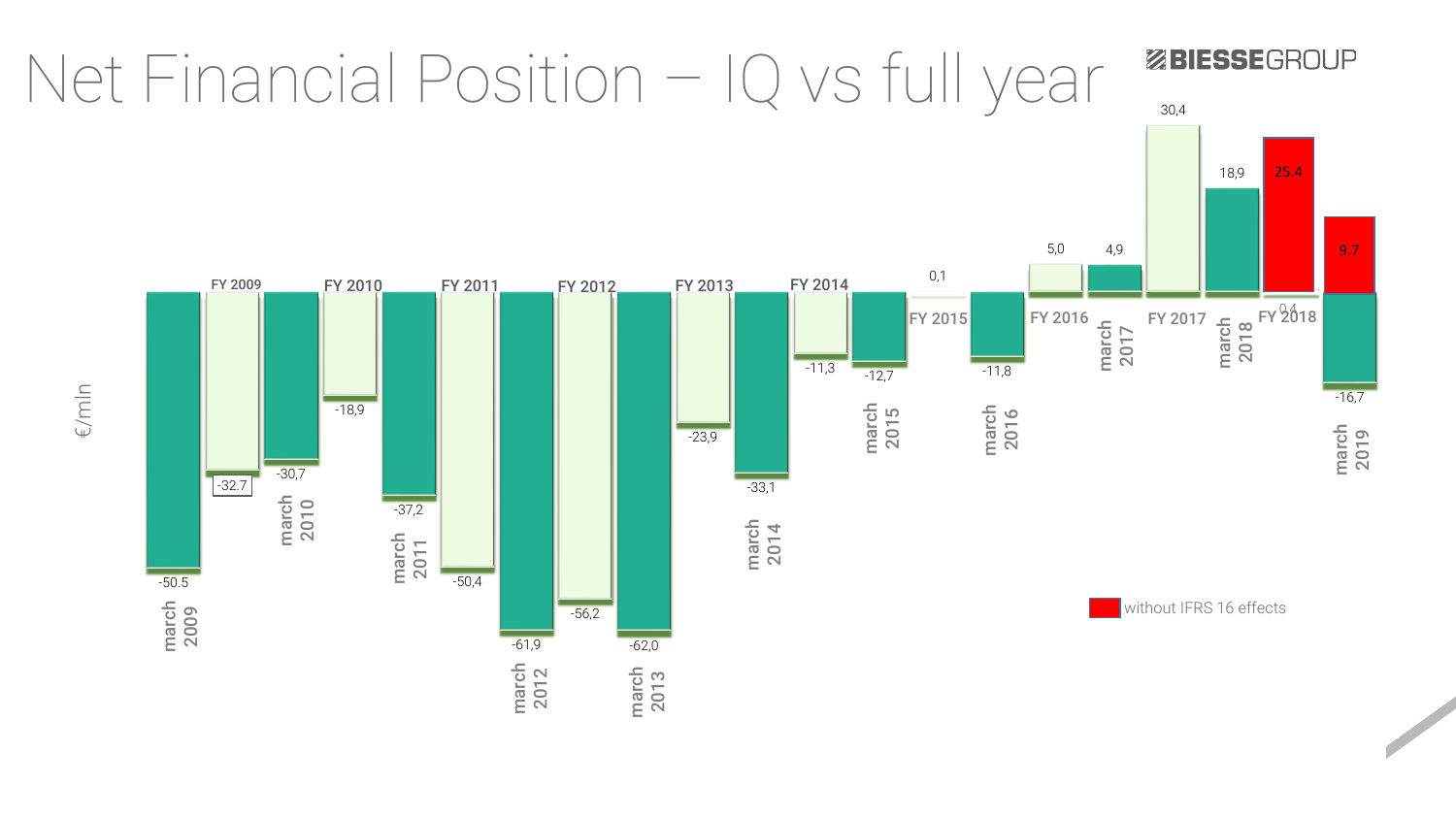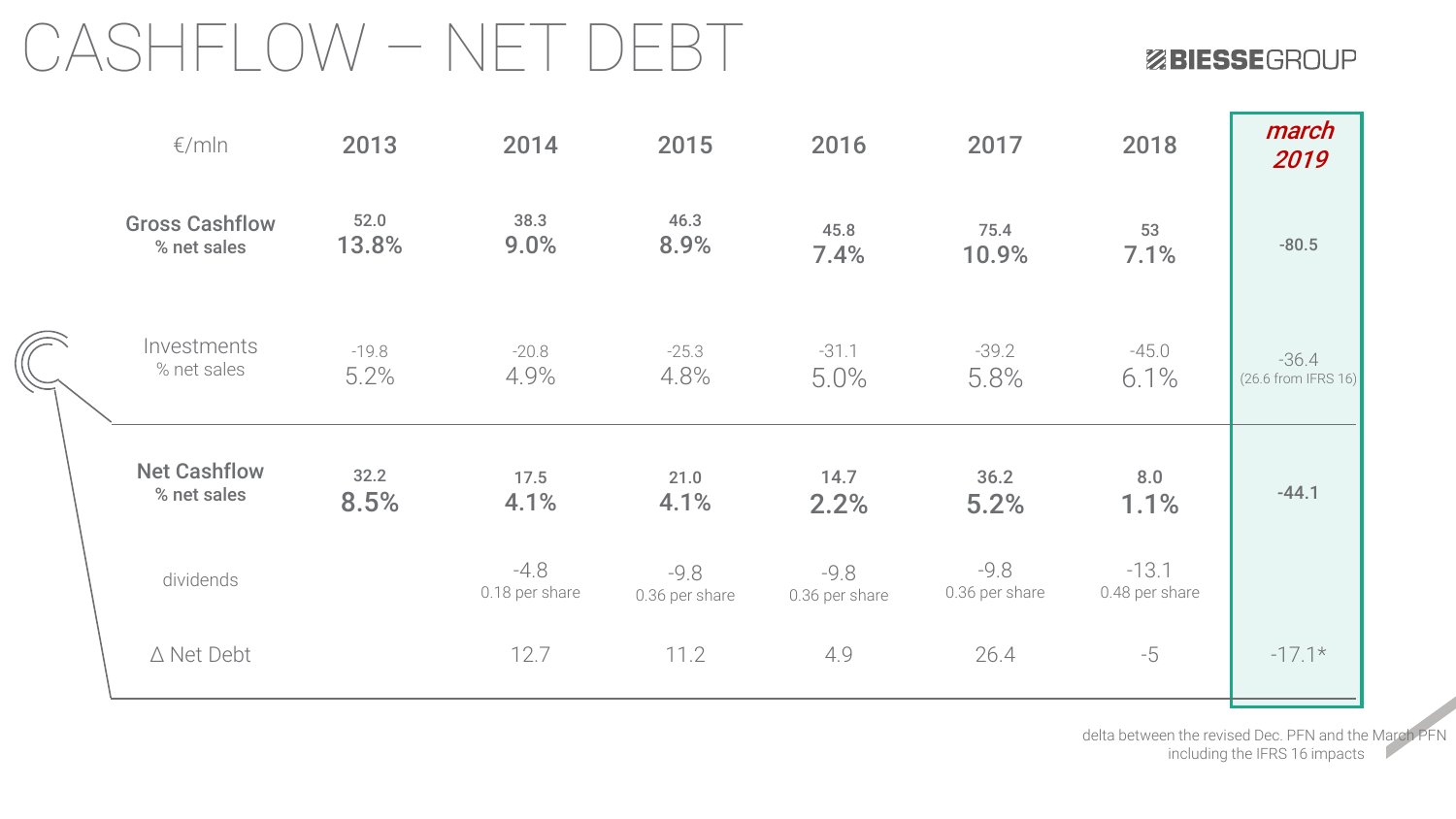### CASHFLOW – NET DEBT

ZBIESSEGROUP

|  | $\epsilon$ /mln                      | 2013            | 2014                     | 2015                     | 2016                     | 2017                     | 2018                      | march<br>2019                    |
|--|--------------------------------------|-----------------|--------------------------|--------------------------|--------------------------|--------------------------|---------------------------|----------------------------------|
|  | <b>Gross Cashflow</b><br>% net sales | 52.0<br>13.8%   | 38.3<br>9.0%             | 46.3<br>8.9%             | 45.8<br>7.4%             | 75.4<br>10.9%            | 53<br>7.1%                | $-80.5$                          |
|  | Investments<br>% net sales           | $-19.8$<br>5.2% | $-20.8$<br>4.9%          | $-25.3$<br>4.8%          | $-31.1$<br>5.0%          | $-39.2$<br>5.8%          | $-45.0$<br>6.1%           | $-36.4$<br>$(26.6$ from IFRS 16) |
|  | <b>Net Cashflow</b><br>% net sales   | 32.2<br>8.5%    | 17.5<br>4.1%             | 21.0<br>4.1%             | 14.7<br>2.2%             | 36.2<br>5.2%             | 8.0<br>1.1%               | $-44.1$                          |
|  | dividends                            |                 | $-4.8$<br>0.18 per share | $-9.8$<br>0.36 per share | $-9.8$<br>0.36 per share | $-9.8$<br>0.36 per share | $-13.1$<br>0.48 per share |                                  |
|  | $\triangle$ Net Debt                 |                 | 12.7                     | 11.2                     | 4.9                      | 26.4                     | $-5$                      | $-17.1*$                         |

delta between the revised Dec. PFN and the March PFN including the IFRS 16 impacts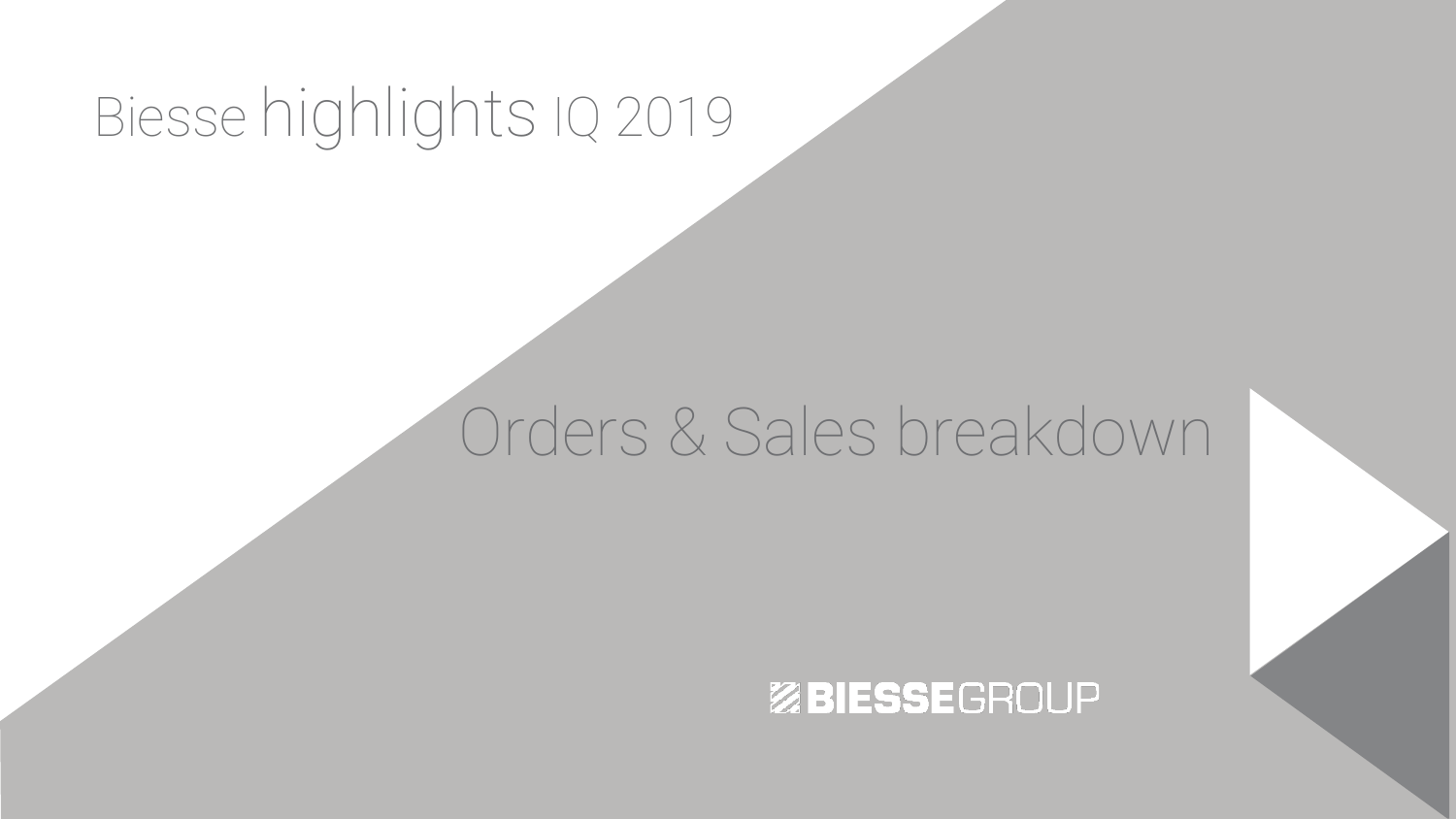## Biesse highlights IQ 2019

### Orders & Sales breakdown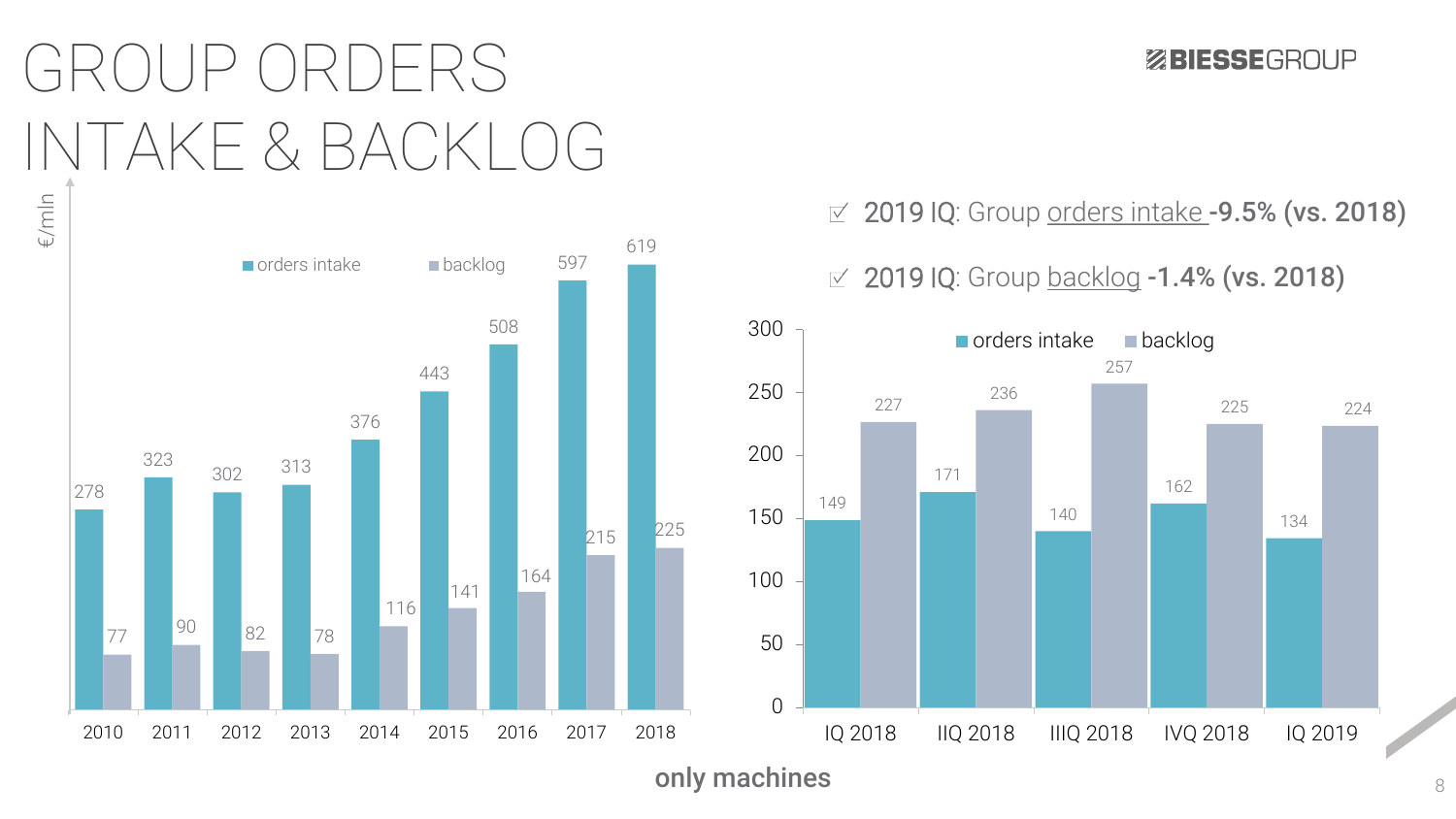## GROUP ORDERS INTAKE & BACKLOG



ZBIESSEGROUP

#### $\leq 2019$  IQ: Group orders intake -9.5% (vs. 2018)

 $\textdegree$  2019 IQ: Group backlog -1.4% (vs. 2018)



only machines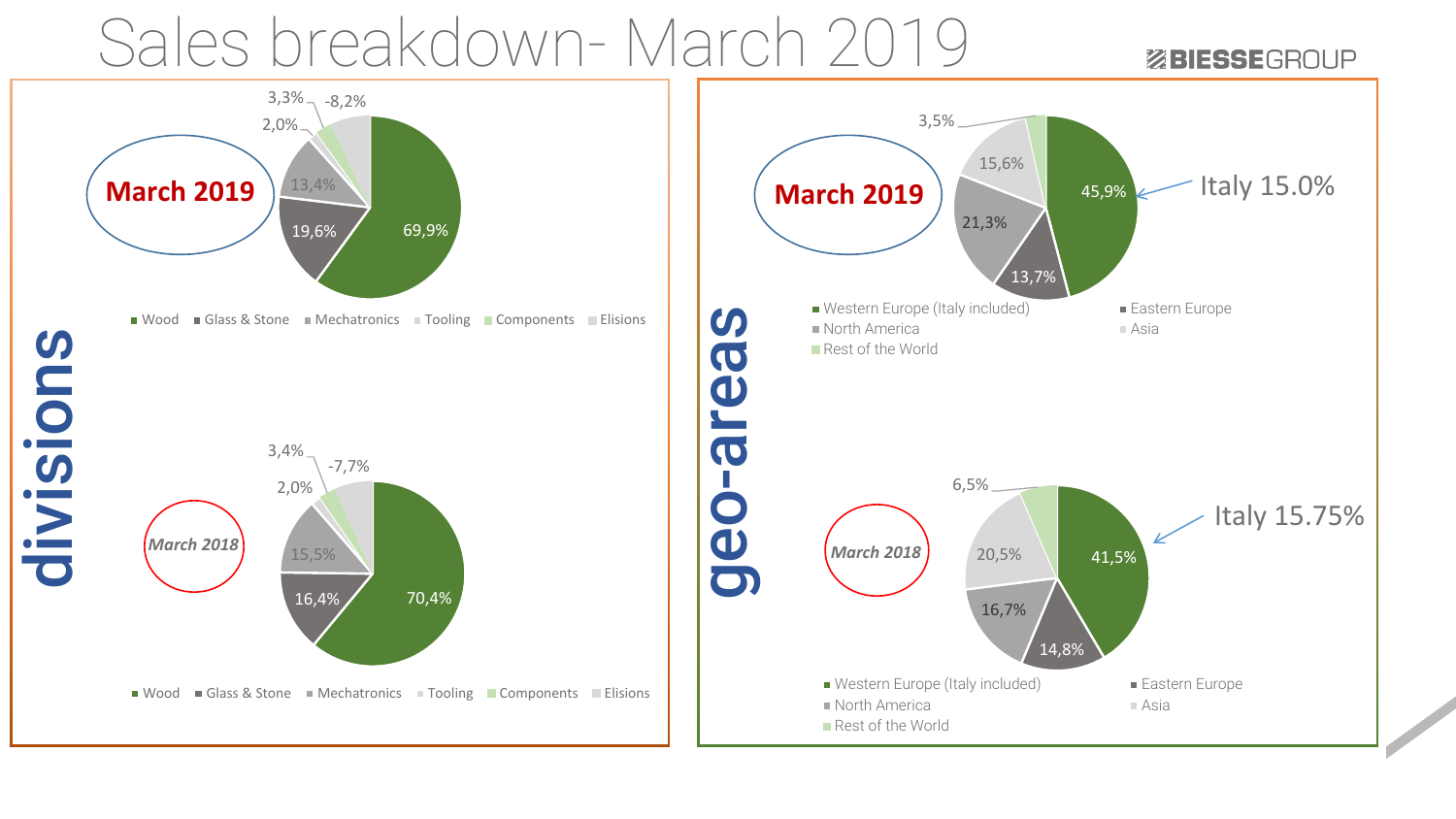### Sales breakdown- March 2019

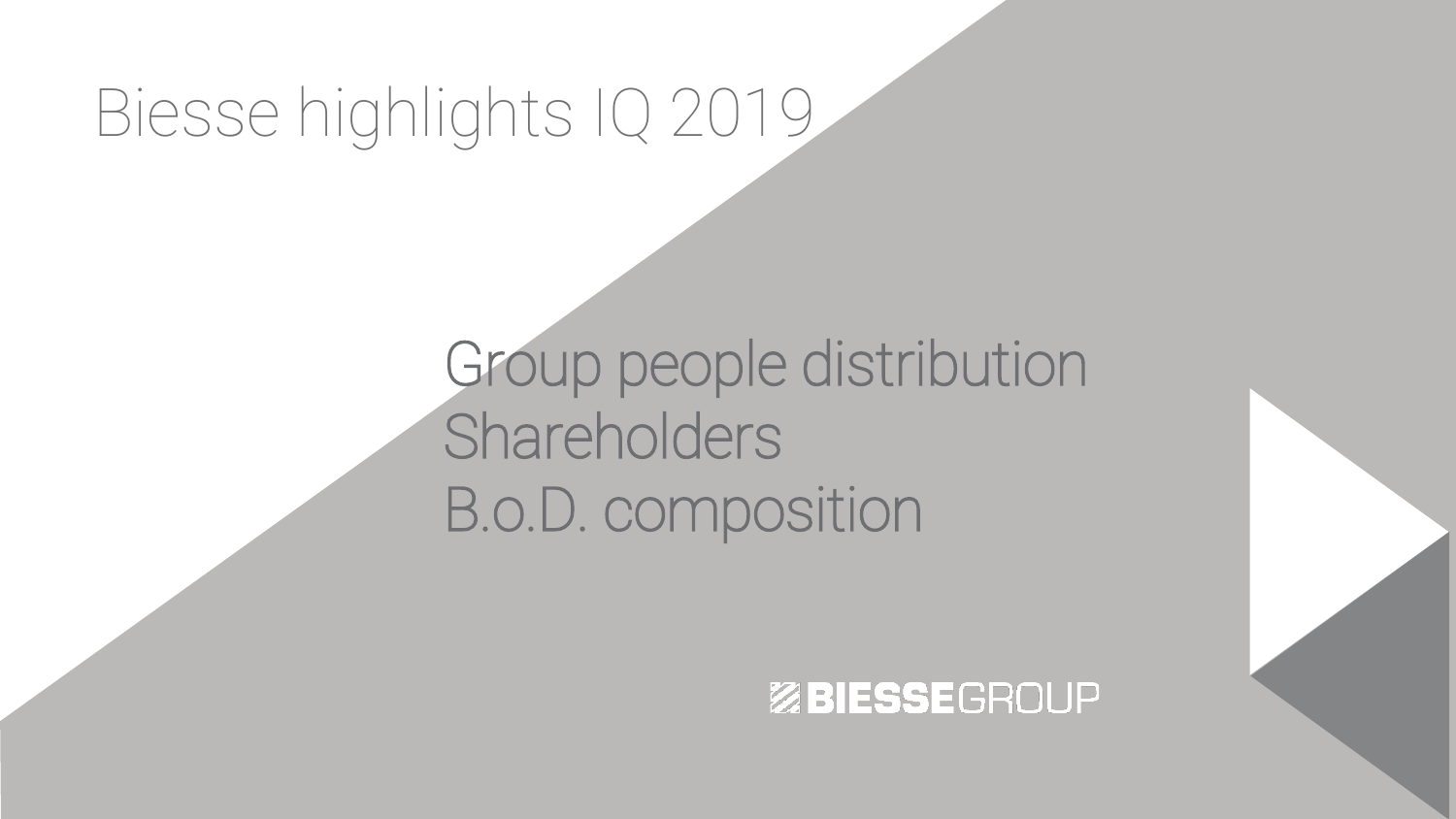## Biesse highlights IQ 2019

Group people distribution **Shareholders** B.o.D. composition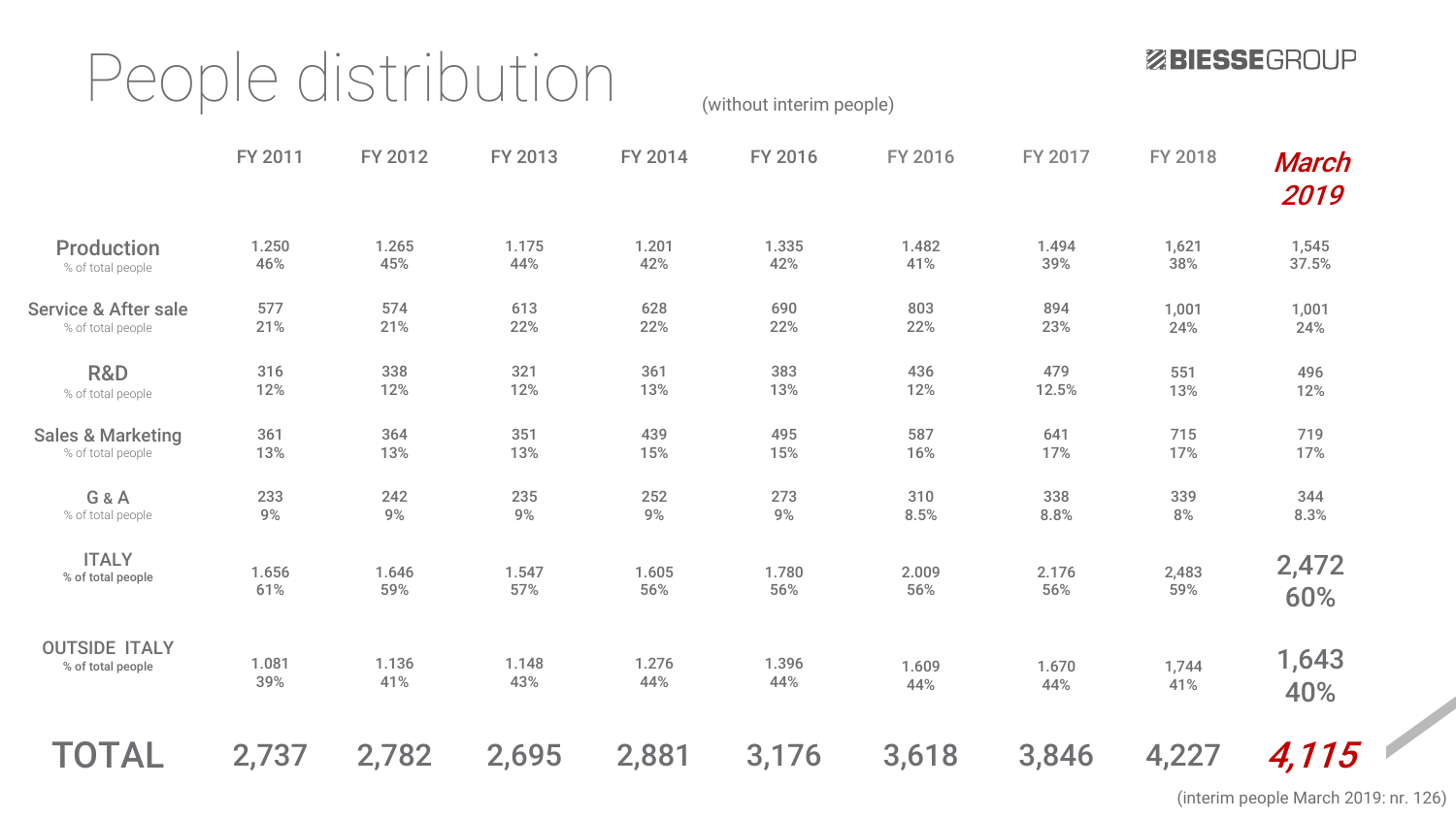### People distribution (without interim people)

ZBIESSEGROUP

|                                 | FY 2011 | FY 2012 | FY 2013 | FY 2014 | FY 2016 | FY 2016 | FY 2017 | FY 2018 | March<br>2019 |
|---------------------------------|---------|---------|---------|---------|---------|---------|---------|---------|---------------|
| <b>Production</b>               | 1.250   | 1.265   | 1.175   | 1.201   | 1.335   | 1.482   | 1.494   | 1,621   | 1,545         |
| % of total people               | 46%     | 45%     | 44%     | 42%     | 42%     | 41%     | 39%     | 38%     | 37.5%         |
| <b>Service &amp; After sale</b> | 577     | 574     | 613     | 628     | 690     | 803     | 894     | 1,001   | 1,001         |
| % of total people               | 21%     | 21%     | 22%     | 22%     | 22%     | 22%     | 23%     | 24%     | 24%           |
| R&D                             | 316     | 338     | 321     | 361     | 383     | 436     | 479     | 551     | 496           |
| % of total people               | 12%     | 12%     | 12%     | 13%     | 13%     | 12%     | 12.5%   | 13%     | 12%           |
| <b>Sales &amp; Marketing</b>    | 361     | 364     | 351     | 439     | 495     | 587     | 641     | 715     | 719           |
| % of total people               | 13%     | 13%     | 13%     | 15%     | 15%     | 16%     | 17%     | 17%     | 17%           |
| G&A                             | 233     | 242     | 235     | 252     | 273     | 310     | 338     | 339     | 344           |
| % of total people               | 9%      | $9%$    | 9%      | 9%      | 9%      | 8.5%    | 8.8%    | $8%$    | 8.3%          |
| <b>ITALY</b>                    | 1.656   | 1.646   | 1.547   | 1.605   | 1.780   | 2.009   | 2.176   | 2,483   | 2,472         |
| % of total people               | 61%     | 59%     | 57%     | 56%     | 56%     | 56%     | 56%     | 59%     | 60%           |
| <b>OUTSIDE ITALY</b>            | 1.081   | 1.136   | 1.148   | 1.276   | 1.396   | 1.609   | 1.670   | 1,744   | 1,643         |
| % of total people               | 39%     | 41%     | 43%     | 44%     | 44%     | 44%     | 44%     | 41%     | 40%           |
| <b>TOTAL</b>                    | 2,737   | 2,782   | 2,695   | 2,881   | 3,176   | 3,618   | 3,846   | 4,227   | 4,115         |

(interim people March 2019: nr. 126)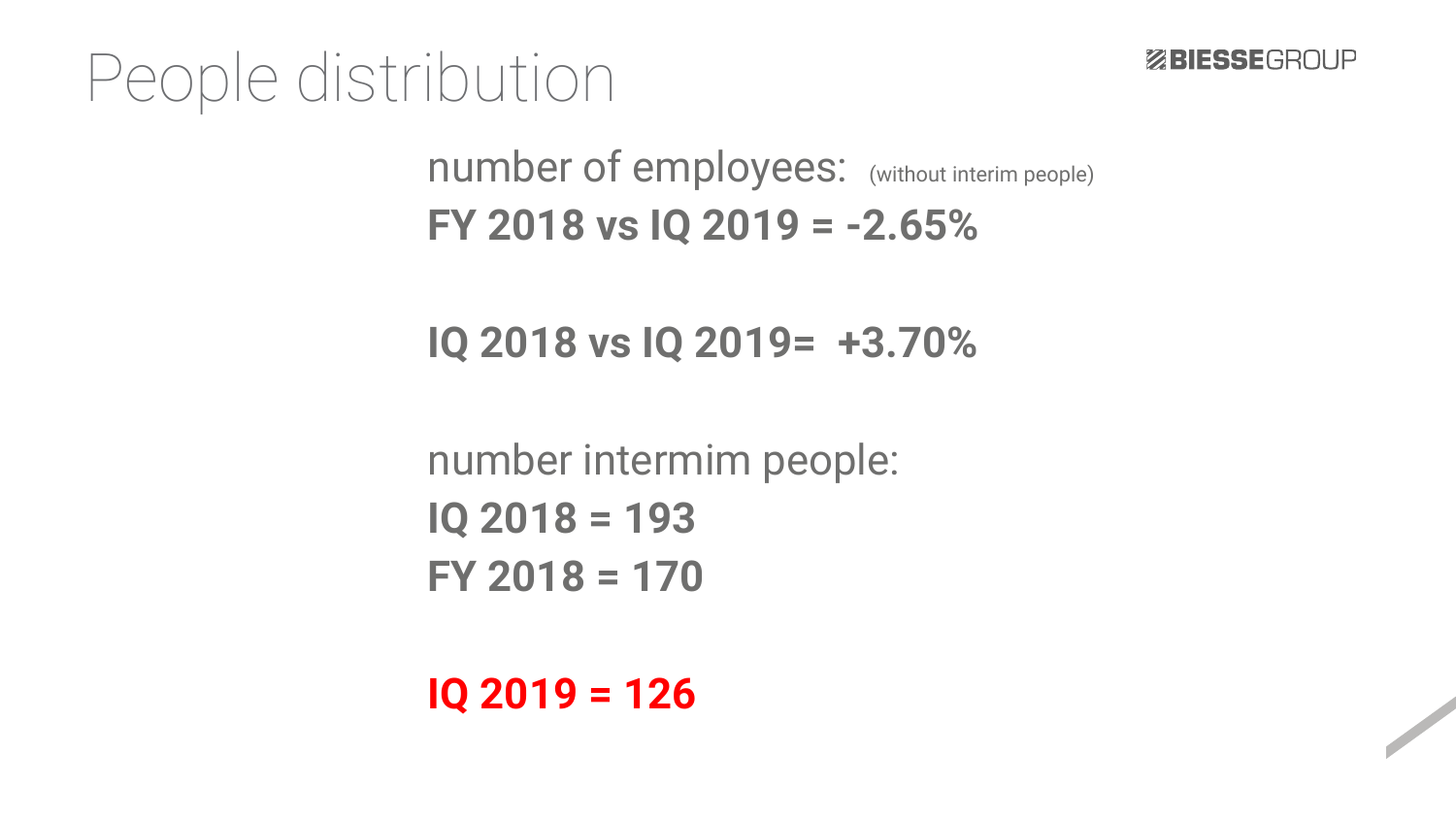#### People distribution

number of employees: (without interim people) **FY 2018 vs IQ 2019 = -2.65%**

**IQ 2018 vs IQ 2019= +3.70%**

number intermim people: **IQ 2018 = 193 FY 2018 = 170**

**IQ 2019 = 126**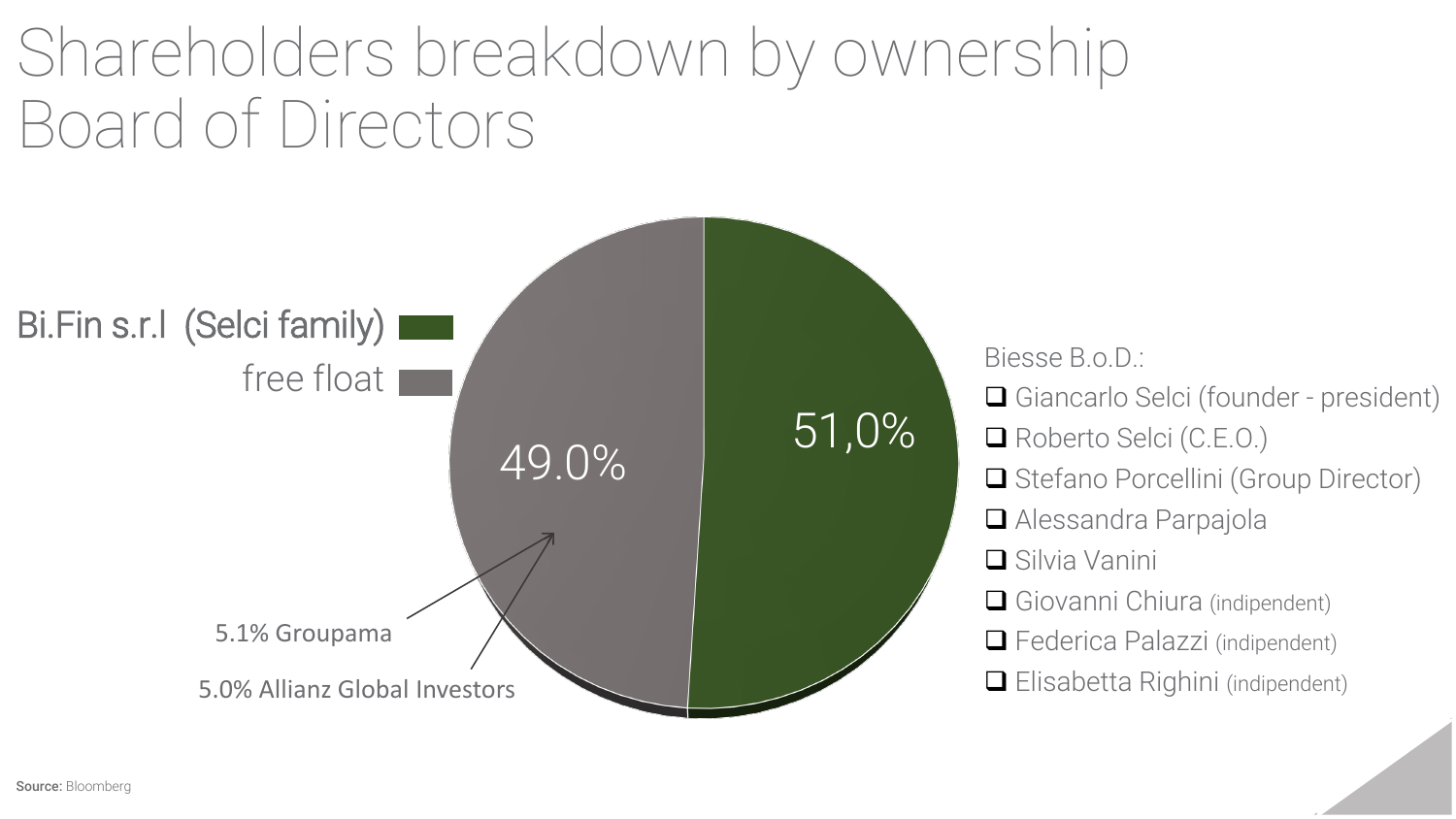## Shareholders breakdown by ownership Board of Directors



Biesse B.o.D.: **□** Giancarlo Selci (founder - president) Roberto Selci (C.E.O.) **□** Stefano Porcellini (Group Director) ■ Alessandra Parpajola ■ Silvia Vanini □ Giovanni Chiura (indipendent) □ Federica Palazzi (indipendent) **□** Elisabetta Righini (indipendent)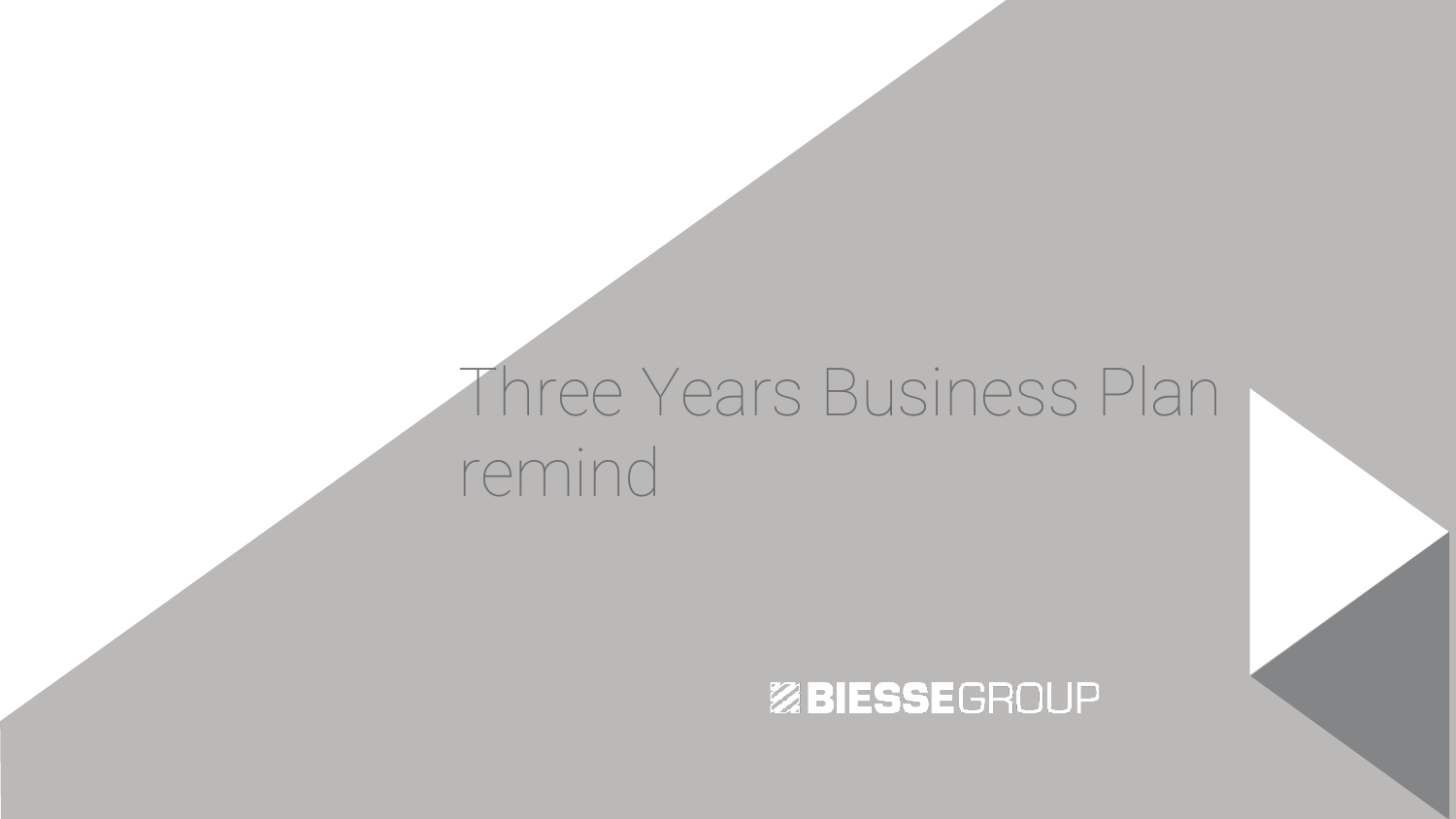### Three Years Business Plan remind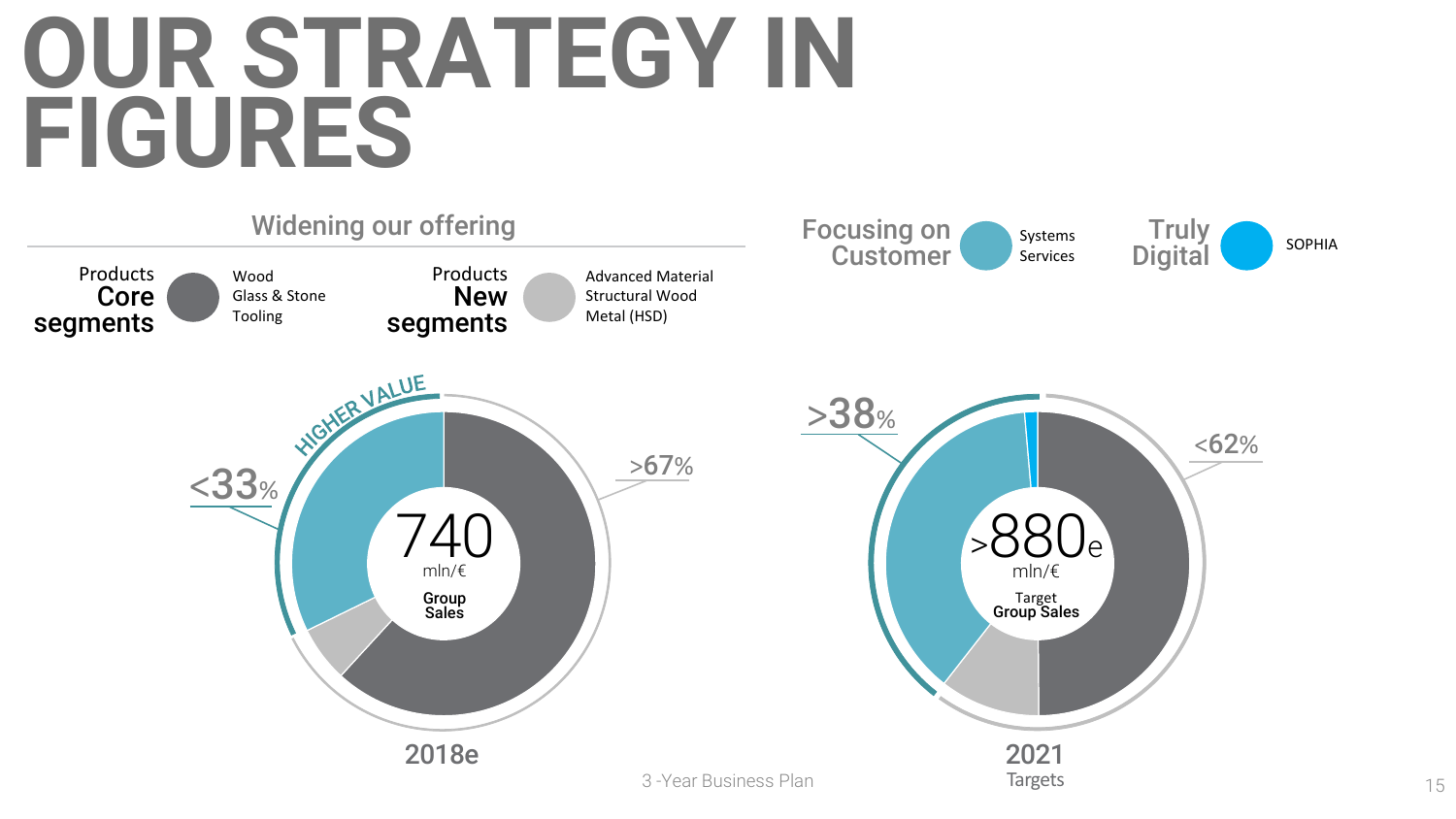## **OUR STRATEGY IN FIGURES**

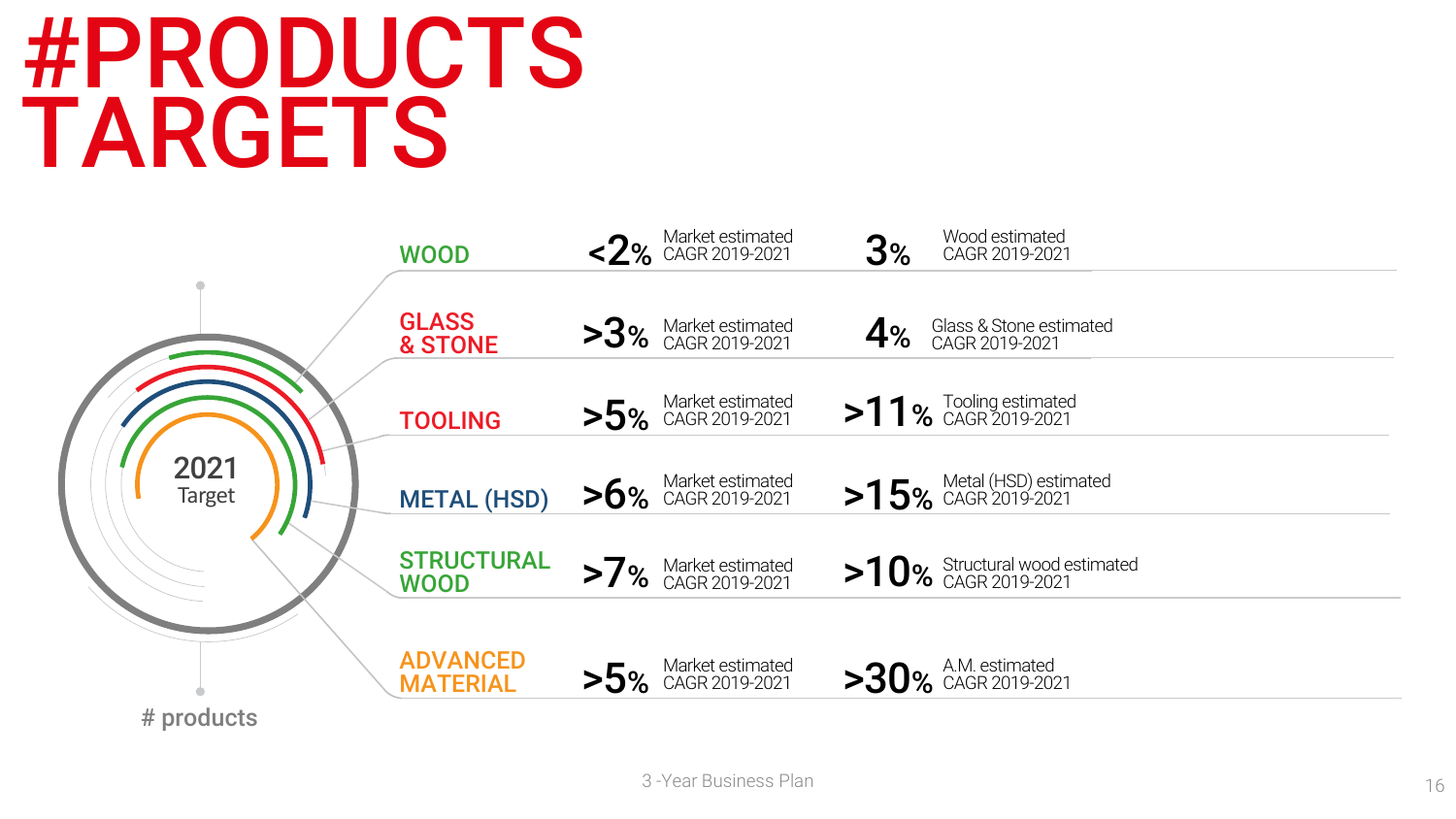## #PRODUCTS TARGETS

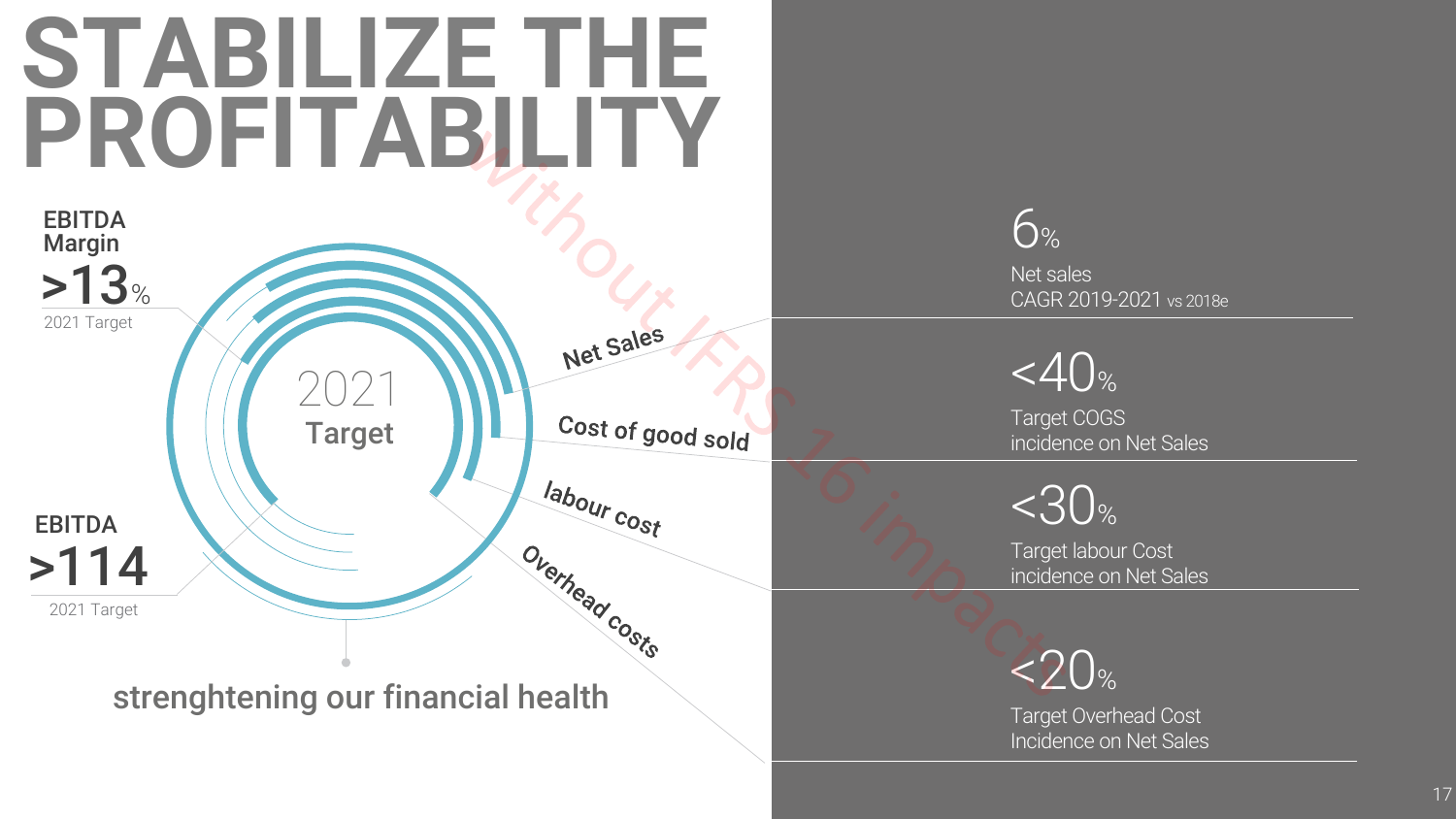## **STABILIZE THE PROFITABILITY**

2021

Net Sales

labour cost

Overhead costs

Cost of good sold

Target

 $>13$ Margin

2021 Target

EBITDA

>114 EBITDA

2021 Target

strenghtening our financial health

6 % Net sales CAGR 2019 -2021 vs 2018e

 $<\!\!40$ %

Target COGS incidence on Net Sales

 $<$ 30%

Target labour Cost incidence on Net Sales

 $<$  20%

Target Overhead Cost Incidence on Net Sales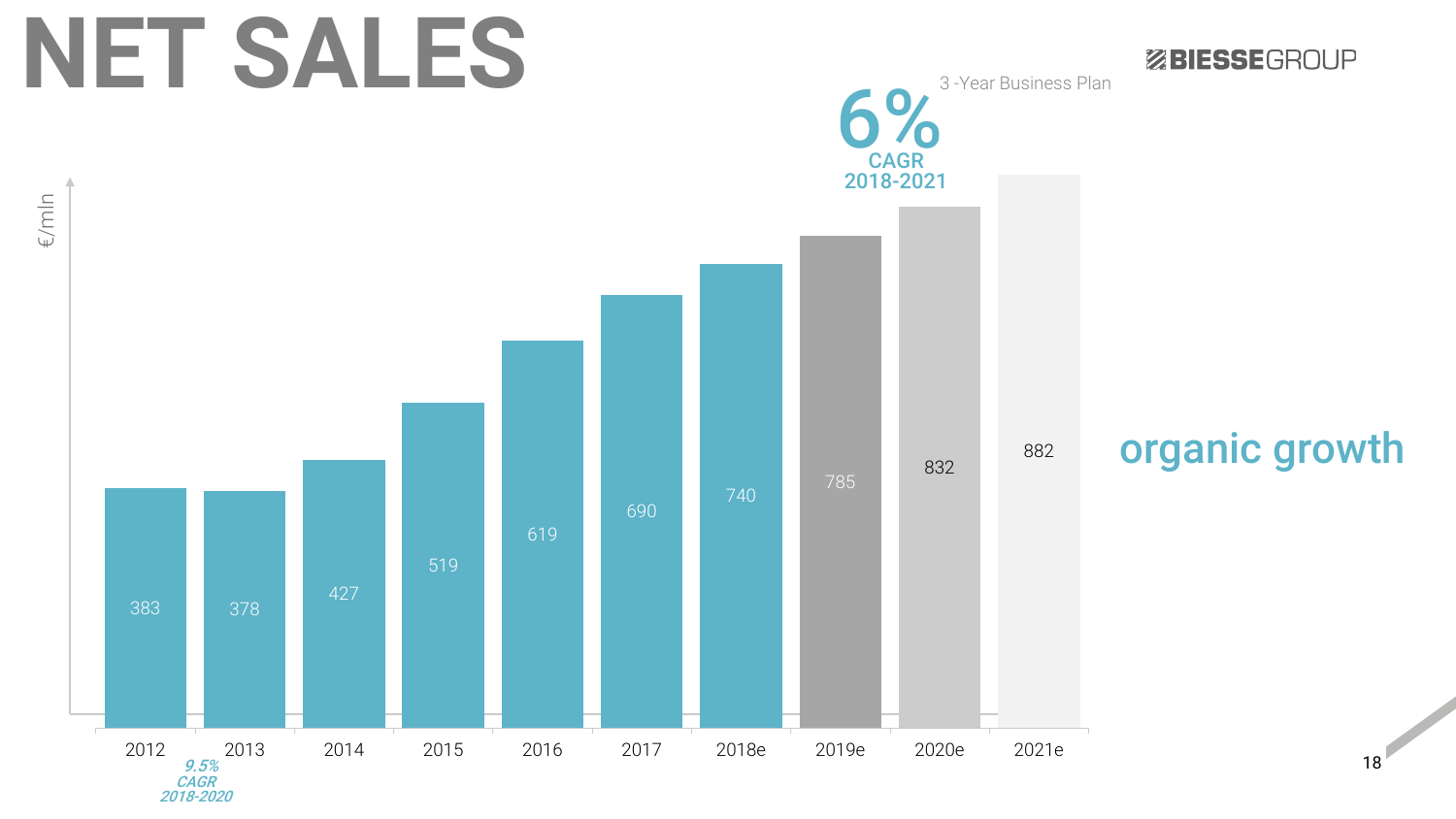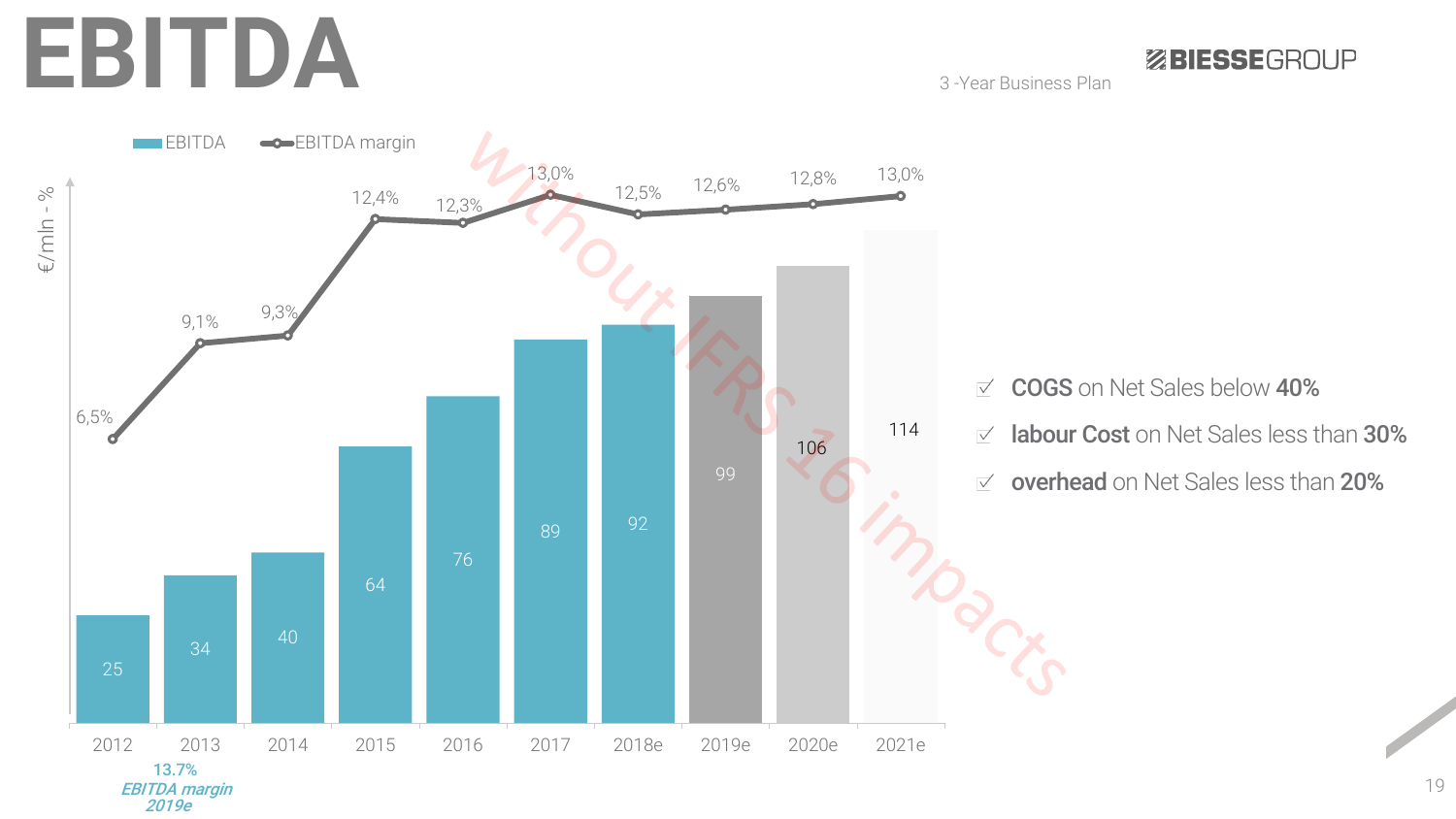## **EBITDA**

3 -Year Business Plan

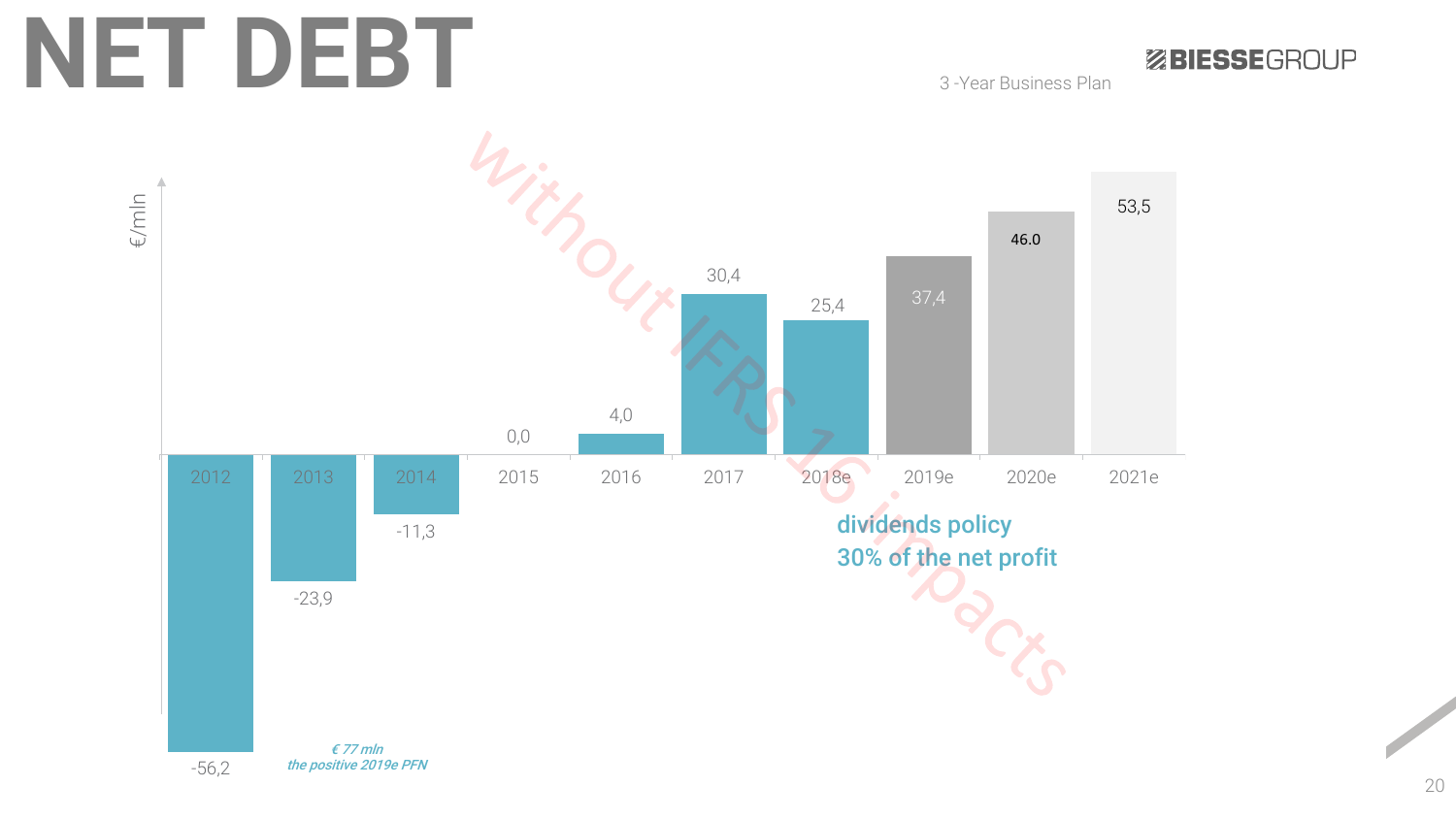# **NET DEBT**

ZBIESSEGROUP

3 -Year Business Plan

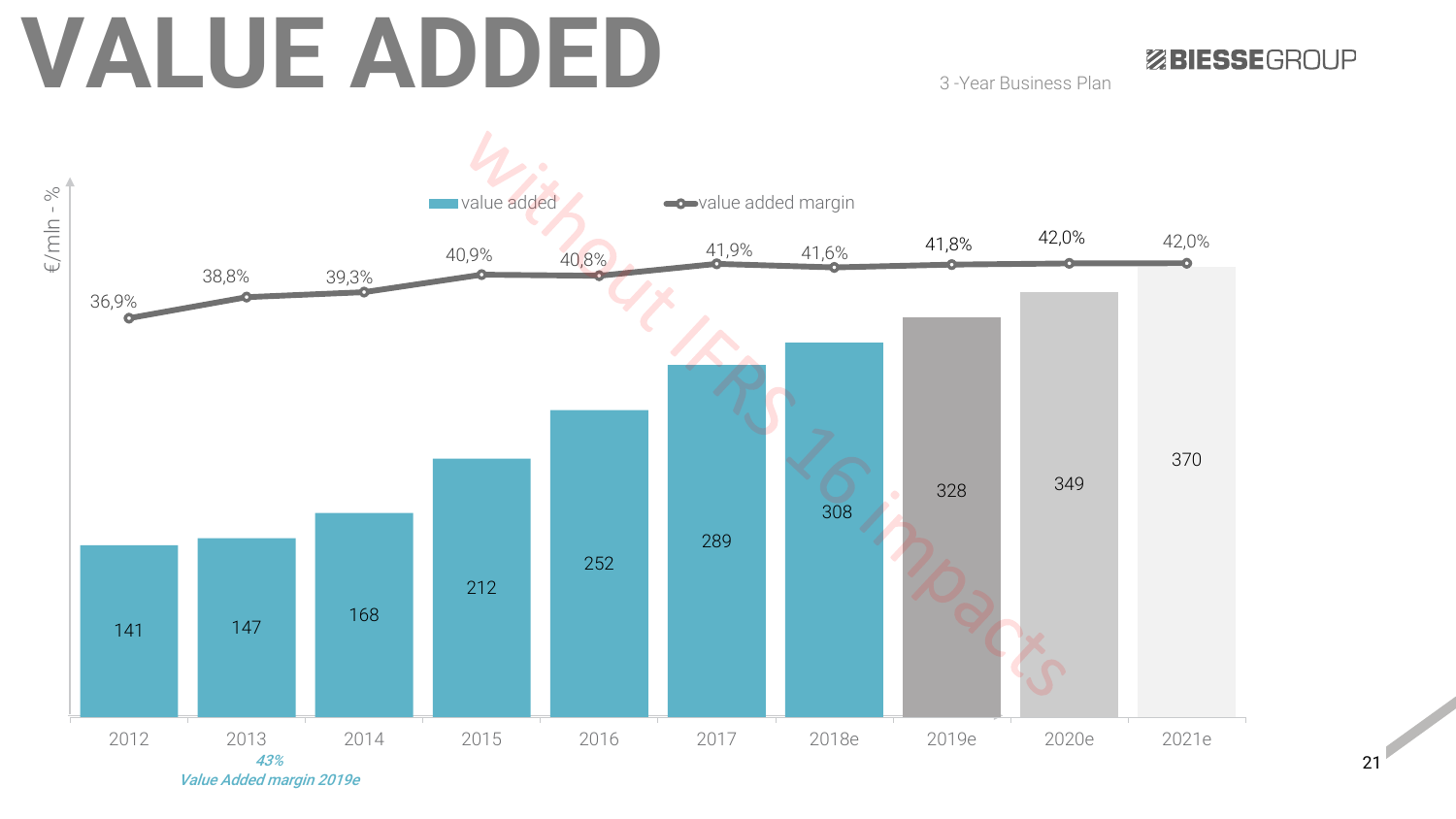# **VALUE ADDED**

ZBIESSEGROUP

3 -Year Business Plan



Value Added margin 2019e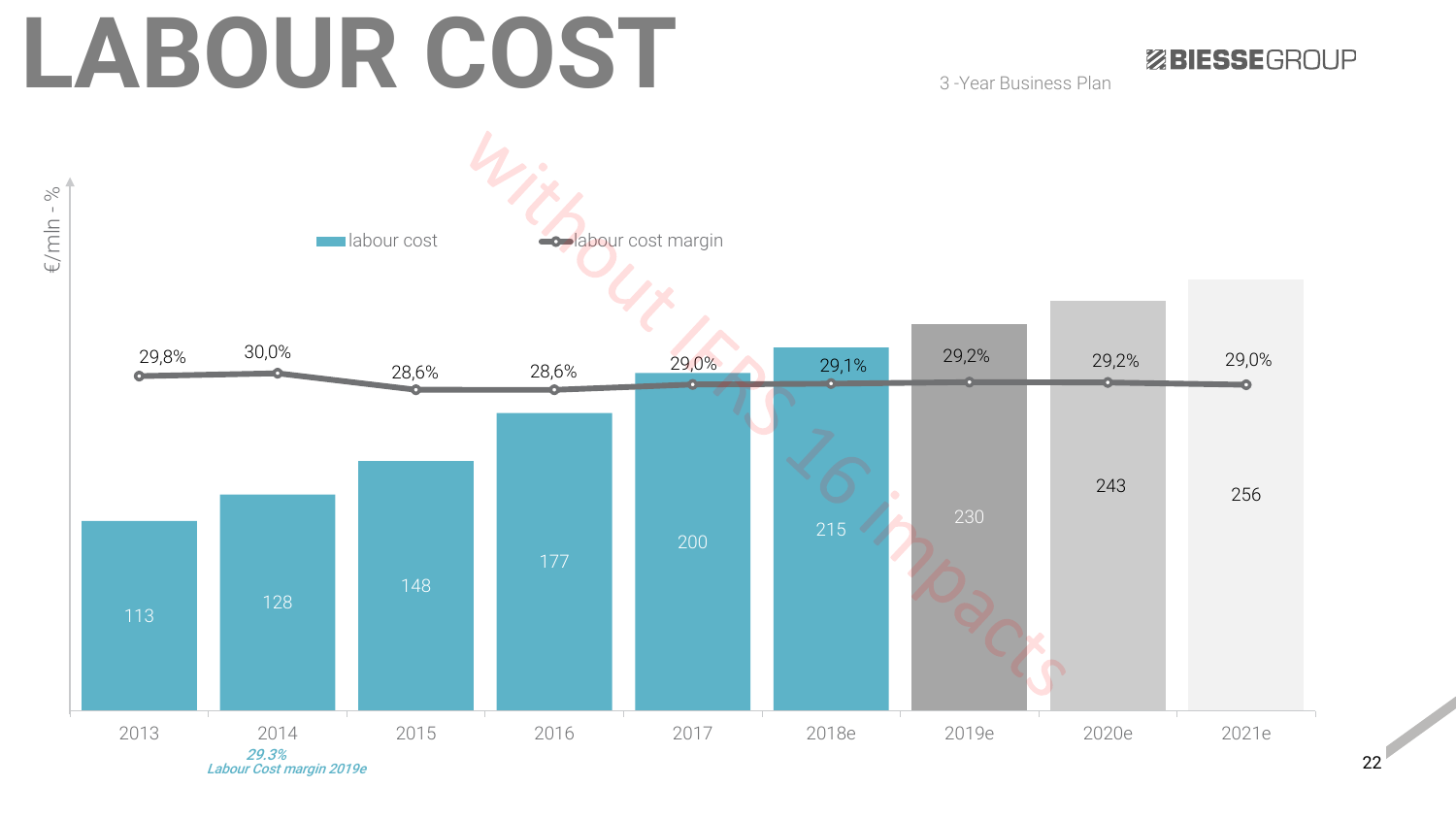# **LABOUR COST**

ZBIESSEGROUP

3 -Year Business Plan



22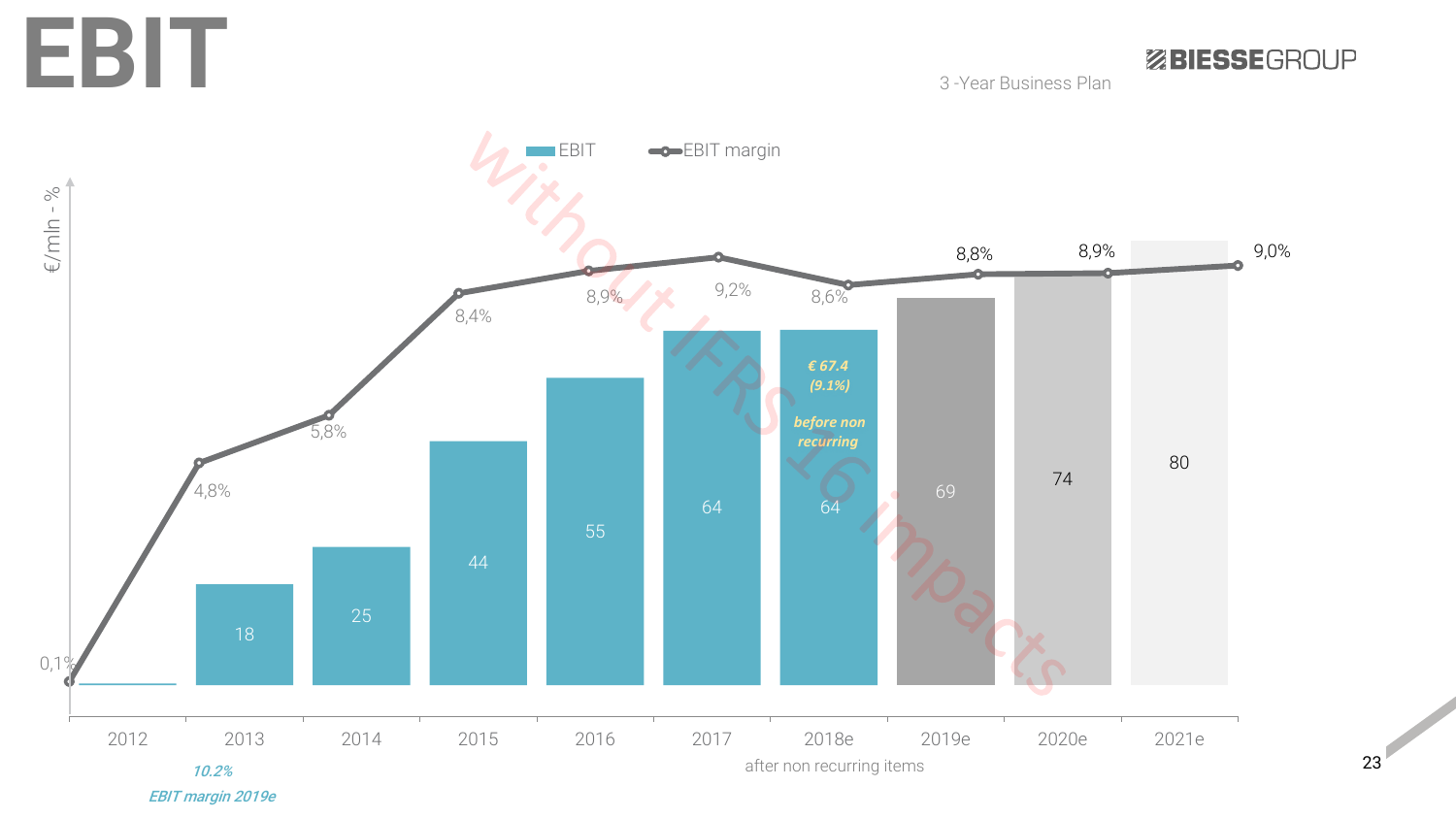**EBIT**

3 -Year Business Plan

ZBIESSEGROUP



23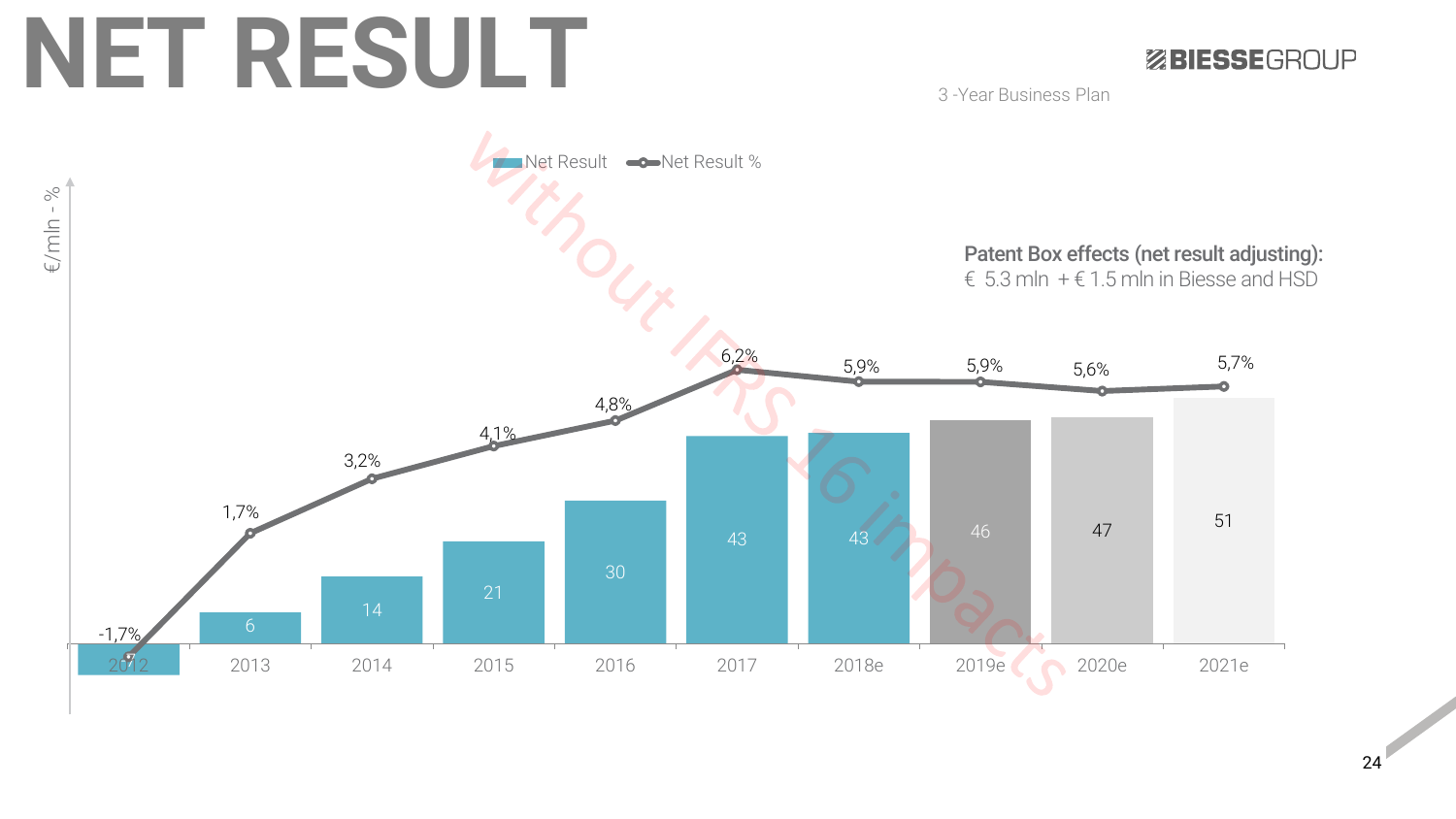# **NET RESULT**

#### ZBIESSEGROUP

3 -Year Business Plan

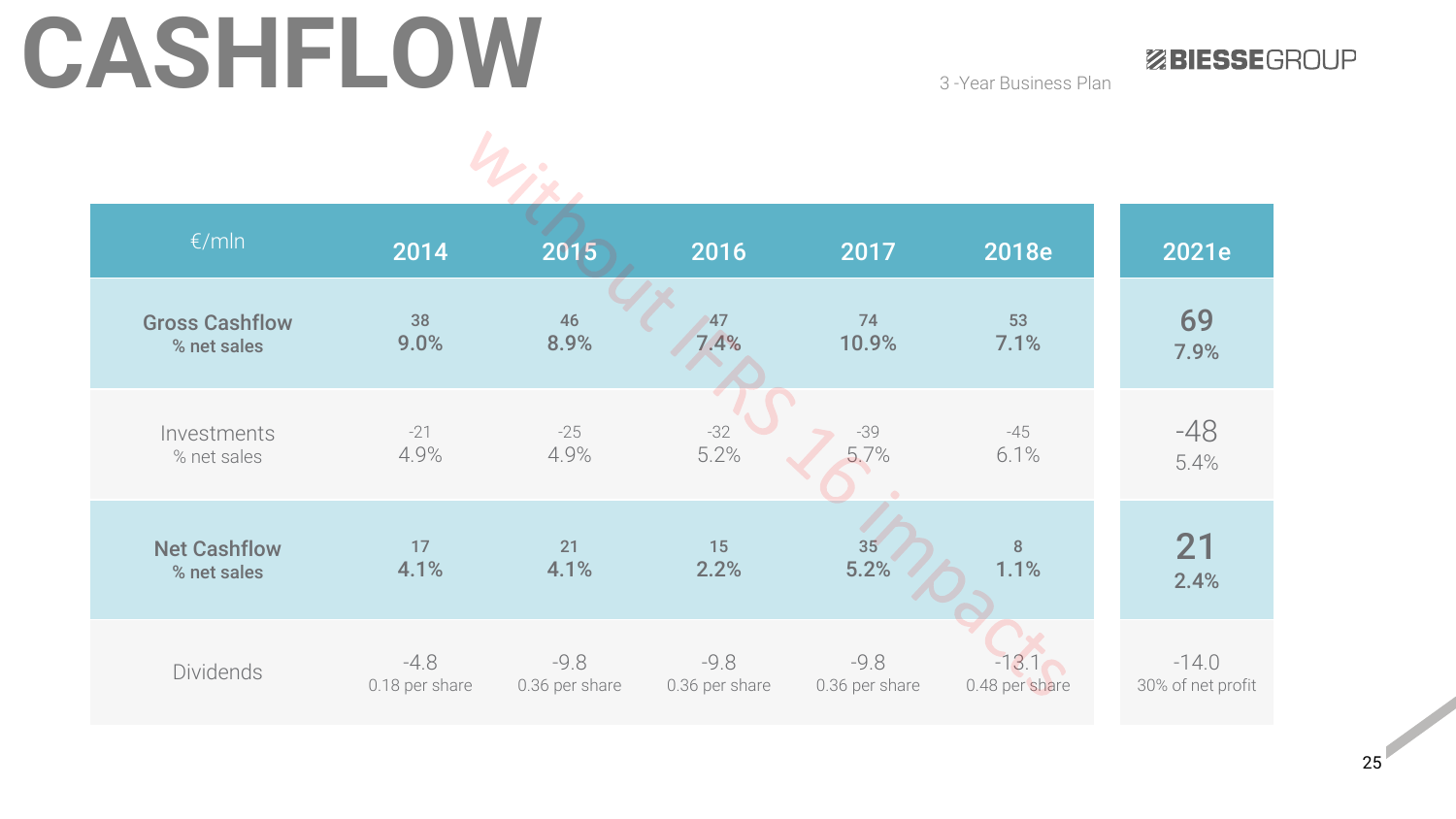# CASHFLOW 3-Year Business Plan

ZBIESSEGROUP

| €/mln                 | 2014           | 2015           | 2016           | 2017           | 2018e          | 2021e             |
|-----------------------|----------------|----------------|----------------|----------------|----------------|-------------------|
| <b>Gross Cashflow</b> | 38             | 46             | 47             | 74             | 53             | 69                |
| % net sales           | 9.0%           | 8.9%           | 7.4%           | 10.9%          | 7.1%           | 7.9%              |
| Investments           | $-21$          | $-25$          | $-32$          | -39            | $-45$          | -48               |
| % net sales           | 4.9%           | 4.9%           | 5.2%           | 5.7%           | 6.1%           | 5.4%              |
| <b>Net Cashflow</b>   | 17             | 21             | 15             | 35             | 8              | 21                |
| % net sales           | 4.1%           | 4.1%           | 2.2%           | 5.2%           | 1.1%           | 2.4%              |
| <b>Dividends</b>      | $-4.8$         | $-9.8$         | $-9.8$         | $-9.8$         | $-13.1$        | $-14.0$           |
|                       | 0.18 per share | 0.36 per share | 0.36 per share | 0.36 per share | 0.48 per share | 30% of net profit |

 $\mathbf{h}$ .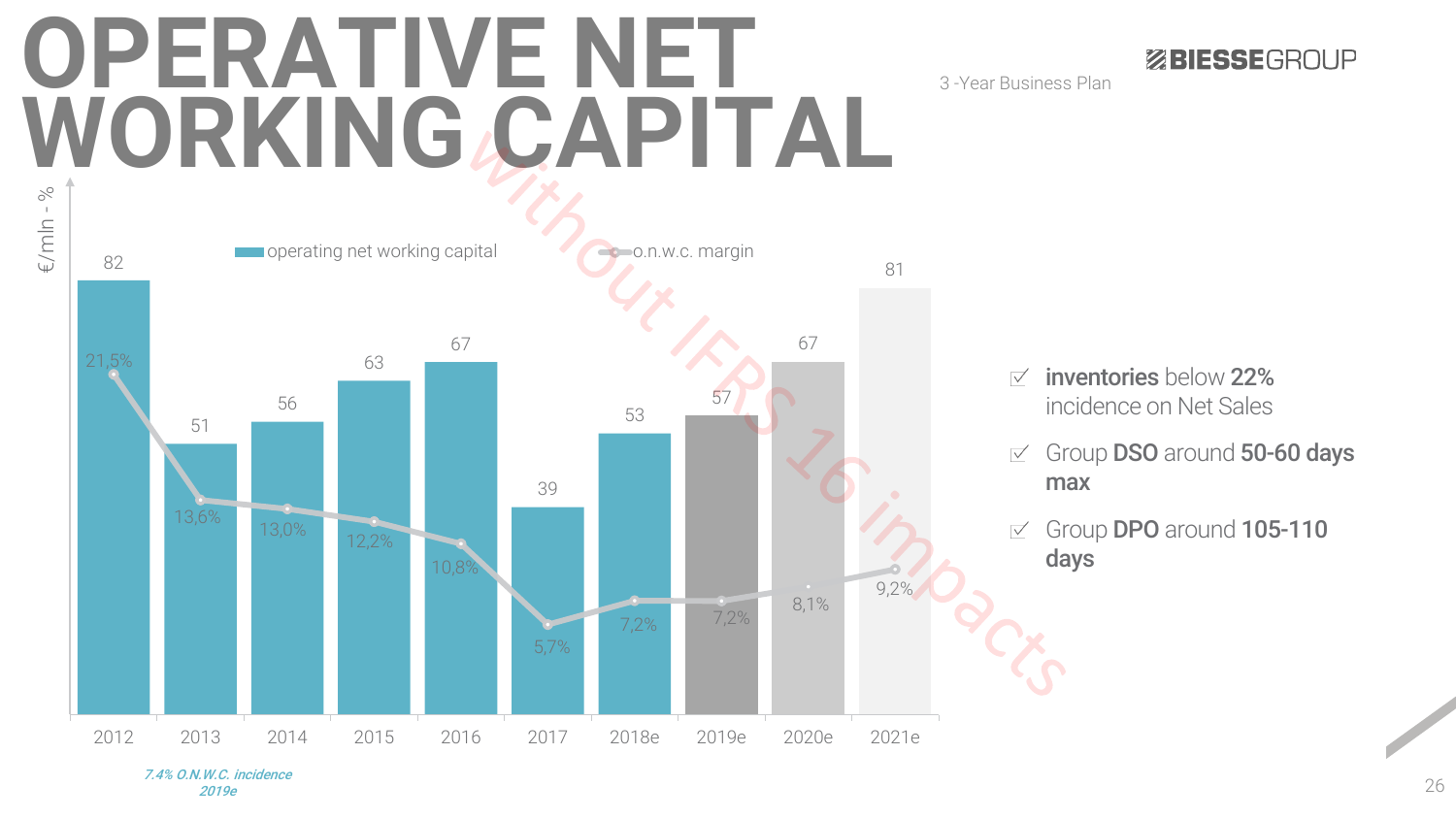# **OPERATIVE NET WORKING CAPITAL**



3 -Year Business Plan

- inventories below 22%  $\overline{\vee}$ incidence on Net Sales
- Group DSO around 50-60 days  $\overline{\vee}$ max

**ZBIESSEGROUP** 

Group DPO around 105-110  $\overline{\vee}$ days

7.4% O.N.W.C. incidence 2019e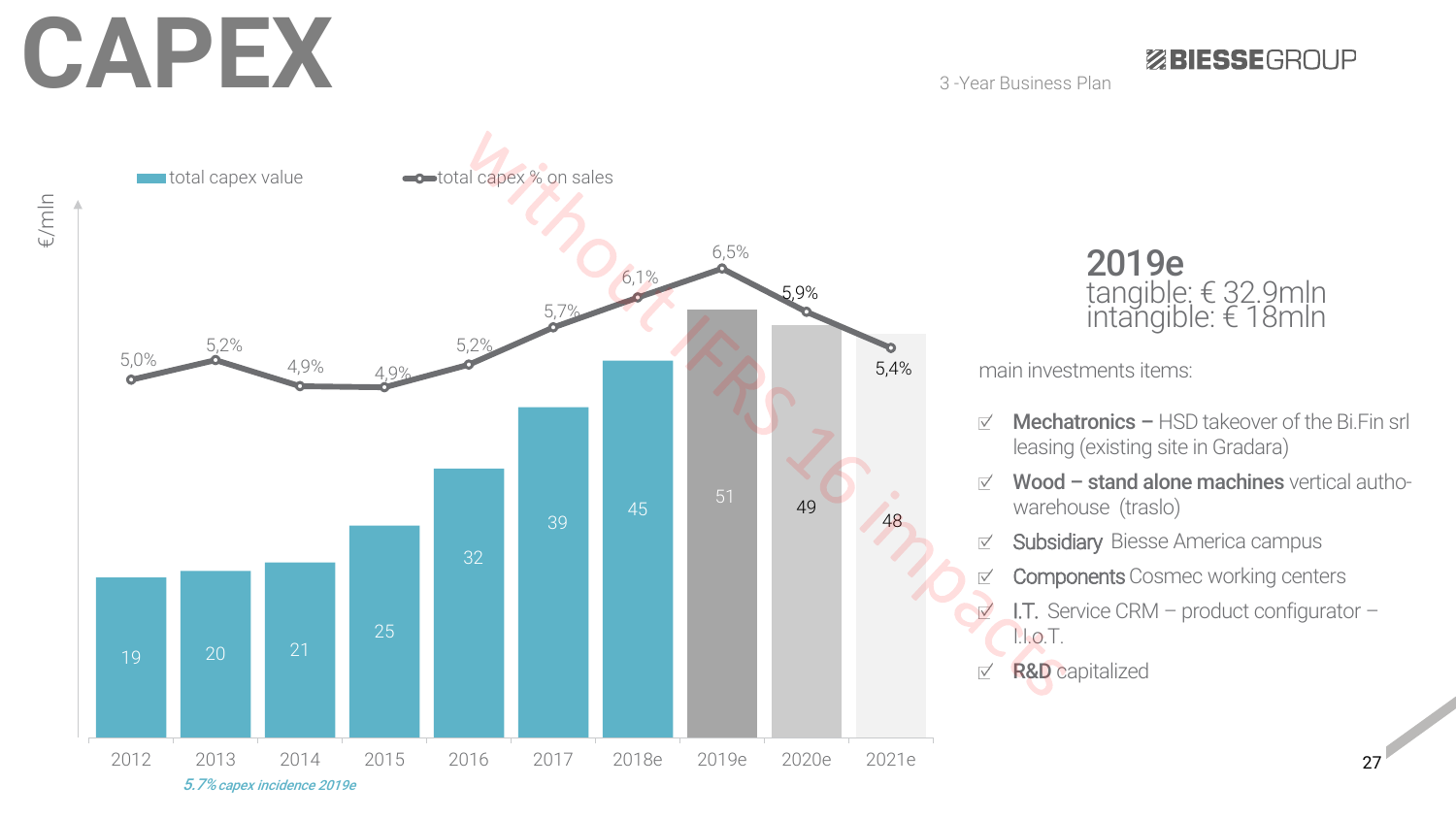# **CAPEX**

€/mln

**ZBIESSEGROUP** 

3 -Year Business Plan



2019e tangible: € 32.9mln intangible: € 18mln

main investments items:

- Mechatronics  $-$  HSD takeover of the Bi.Fin srl  $\overrightarrow{v}$ leasing (existing site in Gradara)
- Wood stand alone machines vertical autho- $\overrightarrow{v}$ warehouse (traslo)
- Subsidiary Biesse America campus  $\overrightarrow{\vee}$ 
	- **Components** Cosmec working centers
	- I.T. Service CRM product configurator I.I.o.T.

**R&D** capitalized  $\overrightarrow{v}$ 

 $\sqrt{}$ 

 $\sqrt{}$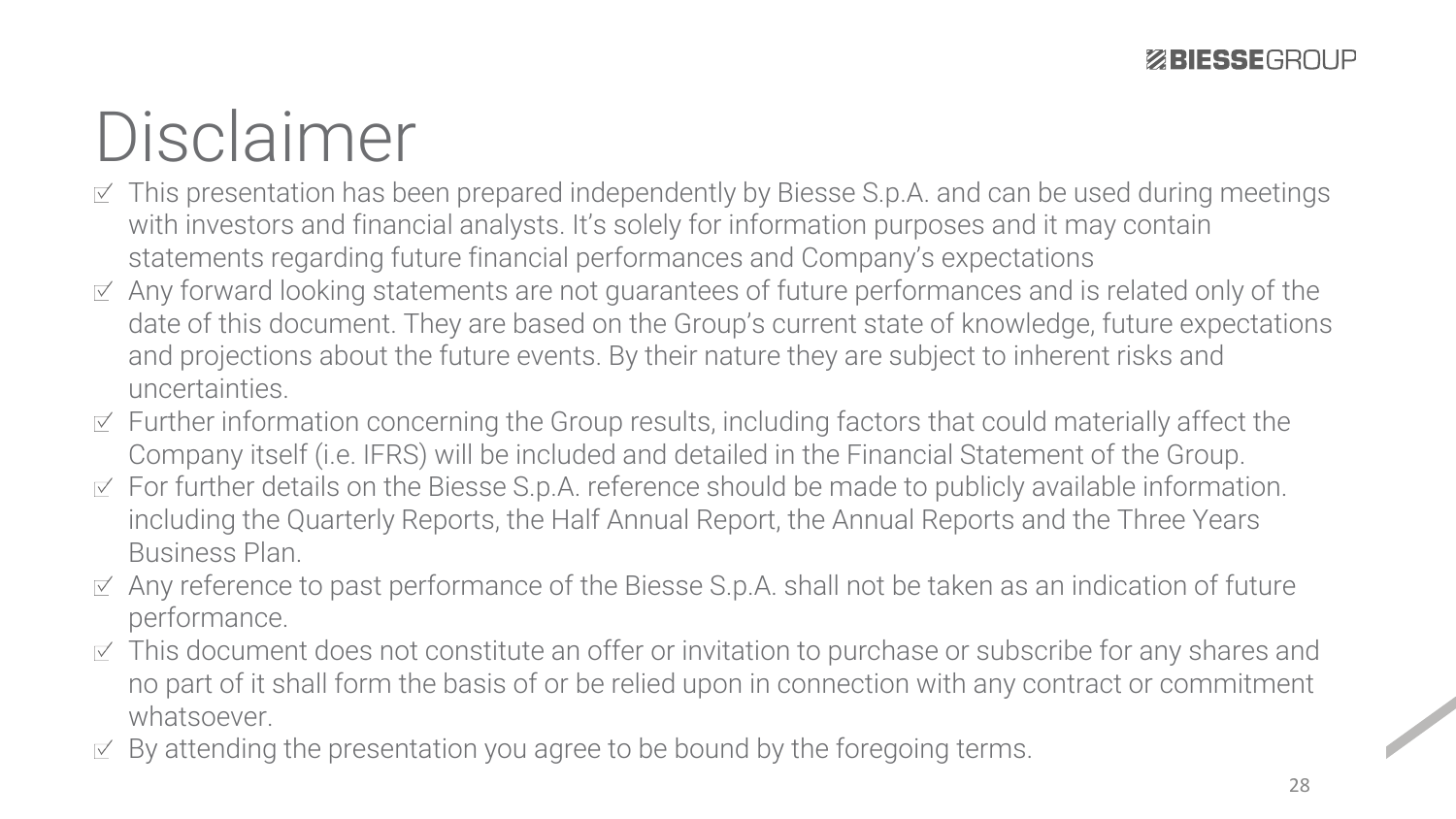## Disclaimer

- $\leq$  This presentation has been prepared independently by Biesse S.p.A. and can be used during meetings with investors and financial analysts. It's solely for information purposes and it may contain statements regarding future financial performances and Company's expectations
- $\le$  Any forward looking statements are not guarantees of future performances and is related only of the date of this document. They are based on the Group's current state of knowledge, future expectations and projections about the future events. By their nature they are subject to inherent risks and uncertainties.
- $\leq$  Further information concerning the Group results, including factors that could materially affect the Company itself (i.e. IFRS) will be included and detailed in the Financial Statement of the Group.
- $\leq$  For further details on the Biesse S.p.A. reference should be made to publicly available information. including the Quarterly Reports, the Half Annual Report, the Annual Reports and the Three Years Business Plan.
- $\le$  Any reference to past performance of the Biesse S.p.A. shall not be taken as an indication of future performance.
- $\leq$  This document does not constitute an offer or invitation to purchase or subscribe for any shares and no part of it shall form the basis of or be relied upon in connection with any contract or commitment whatsoever.
- $\leq$  By attending the presentation you agree to be bound by the foregoing terms.